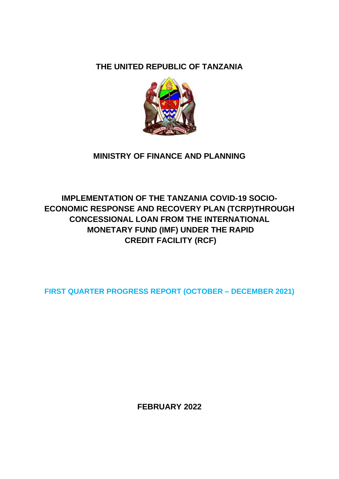# **THE UNITED REPUBLIC OF TANZANIA**



# **MINISTRY OF FINANCE AND PLANNING**

# **IMPLEMENTATION OF THE TANZANIA COVID-19 SOCIO-ECONOMIC RESPONSE AND RECOVERY PLAN (TCRP)THROUGH CONCESSIONAL LOAN FROM THE INTERNATIONAL MONETARY FUND (IMF) UNDER THE RAPID CREDIT FACILITY (RCF)**

**FIRST QUARTER PROGRESS REPORT (OCTOBER – DECEMBER 2021)**

**FEBRUARY 2022**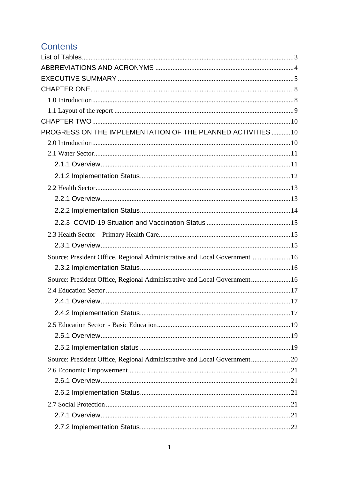# **Contents**

| PROGRESS ON THE IMPLEMENTATION OF THE PLANNED ACTIVITIES10                |  |
|---------------------------------------------------------------------------|--|
|                                                                           |  |
|                                                                           |  |
|                                                                           |  |
|                                                                           |  |
|                                                                           |  |
|                                                                           |  |
|                                                                           |  |
|                                                                           |  |
|                                                                           |  |
|                                                                           |  |
| Source: President Office, Regional Administrative and Local Government 16 |  |
|                                                                           |  |
| Source: President Office, Regional Administrative and Local Government 16 |  |
|                                                                           |  |
|                                                                           |  |
|                                                                           |  |
|                                                                           |  |
|                                                                           |  |
|                                                                           |  |
| Source: President Office, Regional Administrative and Local Government20  |  |
|                                                                           |  |
|                                                                           |  |
|                                                                           |  |
|                                                                           |  |
|                                                                           |  |
|                                                                           |  |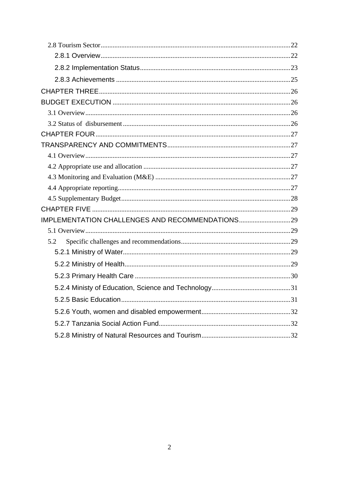| 5.2 |  |
|-----|--|
|     |  |
|     |  |
|     |  |
|     |  |
|     |  |
|     |  |
|     |  |
|     |  |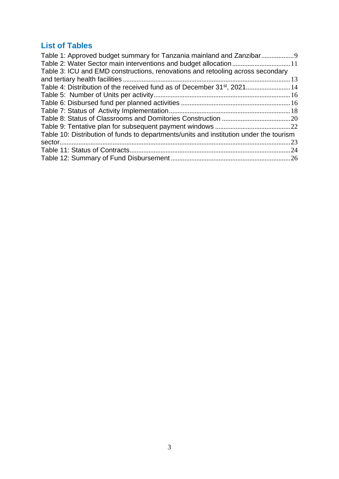# <span id="page-3-0"></span>**List of Tables**

| Table 1: Approved budget summary for Tanzania mainland and Zanzibar                    |  |
|----------------------------------------------------------------------------------------|--|
| Table 2: Water Sector main interventions and budget allocation11                       |  |
| Table 3: ICU and EMD constructions, renovations and retooling across secondary         |  |
|                                                                                        |  |
| Table 4: Distribution of the received fund as of December 31 <sup>st</sup> , 202114    |  |
|                                                                                        |  |
|                                                                                        |  |
|                                                                                        |  |
|                                                                                        |  |
|                                                                                        |  |
| Table 10: Distribution of funds to departments/units and institution under the tourism |  |
|                                                                                        |  |
|                                                                                        |  |
|                                                                                        |  |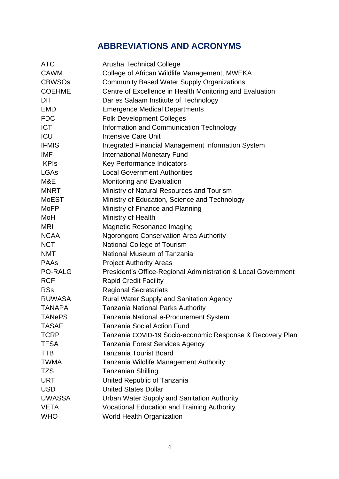# **ABBREVIATIONS AND ACRONYMS**

<span id="page-4-0"></span>

| <b>ATC</b>     | Arusha Technical College                                      |
|----------------|---------------------------------------------------------------|
| <b>CAWM</b>    | College of African Wildlife Management, MWEKA                 |
| <b>CBWSOs</b>  | <b>Community Based Water Supply Organizations</b>             |
| <b>COEHME</b>  | Centre of Excellence in Health Monitoring and Evaluation      |
| <b>DIT</b>     | Dar es Salaam Institute of Technology                         |
| <b>EMD</b>     | <b>Emergence Medical Departments</b>                          |
| <b>FDC</b>     | <b>Folk Development Colleges</b>                              |
| <b>ICT</b>     | Information and Communication Technology                      |
| ICU            | <b>Intensive Care Unit</b>                                    |
| <b>IFMIS</b>   | <b>Integrated Financial Management Information System</b>     |
| <b>IMF</b>     | <b>International Monetary Fund</b>                            |
| <b>KPIs</b>    | Key Performance Indicators                                    |
| <b>LGAs</b>    | <b>Local Government Authorities</b>                           |
| M&E            | Monitoring and Evaluation                                     |
| <b>MNRT</b>    | Ministry of Natural Resources and Tourism                     |
| <b>MoEST</b>   | Ministry of Education, Science and Technology                 |
| <b>MoFP</b>    | Ministry of Finance and Planning                              |
| MoH            | Ministry of Health                                            |
| <b>MRI</b>     | Magnetic Resonance Imaging                                    |
| <b>NCAA</b>    | <b>Ngorongoro Conservation Area Authority</b>                 |
| <b>NCT</b>     | <b>National College of Tourism</b>                            |
| <b>NMT</b>     | National Museum of Tanzania                                   |
| <b>PAAs</b>    | <b>Project Authority Areas</b>                                |
| <b>PO-RALG</b> | President's Office-Regional Administration & Local Government |
| <b>RCF</b>     | <b>Rapid Credit Facility</b>                                  |
| <b>RSs</b>     | <b>Regional Secretariats</b>                                  |
| <b>RUWASA</b>  | <b>Rural Water Supply and Sanitation Agency</b>               |
| <b>TANAPA</b>  | <b>Tanzania National Parks Authority</b>                      |
| <b>TANePS</b>  | Tanzania National e-Procurement System                        |
| <b>TASAF</b>   | <b>Tanzania Social Action Fund</b>                            |
| <b>TCRP</b>    | Tanzania COVID-19 Socio-economic Response & Recovery Plan     |
| <b>TFSA</b>    | <b>Tanzania Forest Services Agency</b>                        |
| <b>TTB</b>     | <b>Tanzania Tourist Board</b>                                 |
| <b>TWMA</b>    | Tanzania Wildlife Management Authority                        |
| <b>TZS</b>     | <b>Tanzanian Shilling</b>                                     |
| <b>URT</b>     | United Republic of Tanzania                                   |
| <b>USD</b>     | <b>United States Dollar</b>                                   |
| <b>UWASSA</b>  | <b>Urban Water Supply and Sanitation Authority</b>            |
| <b>VETA</b>    | <b>Vocational Education and Training Authority</b>            |
| <b>WHO</b>     | <b>World Health Organization</b>                              |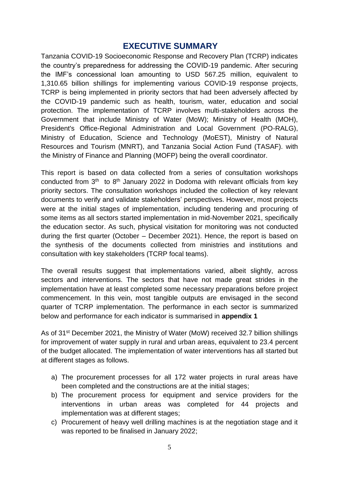## <span id="page-5-0"></span>**EXECUTIVE SUMMARY**

Tanzania COVID-19 Socioeconomic Response and Recovery Plan (TCRP) indicates the country's preparedness for addressing the COVID-19 pandemic. After securing the IMF's concessional loan amounting to USD 567.25 million, equivalent to 1,310.65 billion shillings for implementing various COVID-19 response projects, TCRP is being implemented in priority sectors that had been adversely affected by the COVID-19 pandemic such as health, tourism, water, education and social protection. The implementation of TCRP involves multi-stakeholders across the Government that include Ministry of Water (MoW); Ministry of Health (MOH), President's Office-Regional Administration and Local Government (PO-RALG), Ministry of Education, Science and Technology (MoEST), Ministry of Natural Resources and Tourism (MNRT), and Tanzania Social Action Fund (TASAF). with the Ministry of Finance and Planning (MOFP) being the overall coordinator.

This report is based on data collected from a series of consultation workshops conducted from  $3<sup>th</sup>$  to  $8<sup>th</sup>$  January 2022 in Dodoma with relevant officials from key priority sectors. The consultation workshops included the collection of key relevant documents to verify and validate stakeholders' perspectives. However, most projects were at the initial stages of implementation, including tendering and procuring of some items as all sectors started implementation in mid-November 2021, specifically the education sector. As such, physical visitation for monitoring was not conducted during the first quarter (October – December 2021). Hence, the report is based on the synthesis of the documents collected from ministries and institutions and consultation with key stakeholders (TCRP focal teams).

The overall results suggest that implementations varied, albeit slightly, across sectors and interventions. The sectors that have not made great strides in the implementation have at least completed some necessary preparations before project commencement. In this vein, most tangible outputs are envisaged in the second quarter of TCRP implementation. The performance in each sector is summarized below and performance for each indicator is summarised in **appendix 1**

As of 31st December 2021, the Ministry of Water (MoW) received 32.7 billion shillings for improvement of water supply in rural and urban areas, equivalent to 23.4 percent of the budget allocated. The implementation of water interventions has all started but at different stages as follows.

- a) The procurement processes for all 172 water projects in rural areas have been completed and the constructions are at the initial stages;
- b) The procurement process for equipment and service providers for the interventions in urban areas was completed for 44 projects and implementation was at different stages;
- c) Procurement of heavy well drilling machines is at the negotiation stage and it was reported to be finalised in January 2022;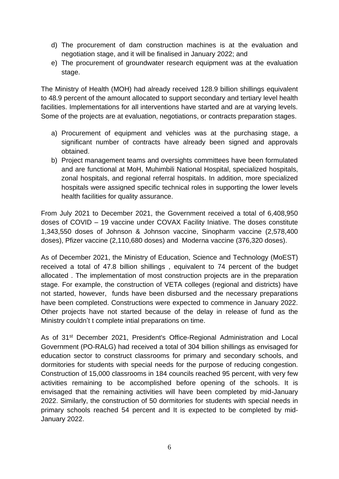- d) The procurement of dam construction machines is at the evaluation and negotiation stage, and it will be finalised in January 2022; and
- e) The procurement of groundwater research equipment was at the evaluation stage.

The Ministry of Health (MOH) had already received 128.9 billion shillings equivalent to 48.9 percent of the amount allocated to support secondary and tertiary level health facilities. Implementations for all interventions have started and are at varying levels. Some of the projects are at evaluation, negotiations, or contracts preparation stages.

- a) Procurement of equipment and vehicles was at the purchasing stage, a significant number of contracts have already been signed and approvals obtained.
- b) Project management teams and oversights committees have been formulated and are functional at MoH, Muhimbili National Hospital, specialized hospitals, zonal hospitals, and regional referral hospitals. In addition, more specialized hospitals were assigned specific technical roles in supporting the lower levels health facilities for quality assurance.

From July 2021 to December 2021, the Government received a total of 6,408,950 doses of COVID – 19 vaccine under COVAX Facility Iniative. The doses constitute 1,343,550 doses of Johnson & Johnson vaccine, Sinopharm vaccine (2,578,400 doses), Pfizer vaccine (2,110,680 doses) and Moderna vaccine (376,320 doses).

As of December 2021, the Ministry of Education, Science and Technology (MoEST) received a total of 47.8 billion shillings , equivalent to 74 percent of the budget allocated . The implementation of most construction projects are in the preparation stage. For example, the construction of VETA colleges (regional and districts) have not started, however, funds have been disbursed and the necessary preparations have been completed. Constructions were expected to commence in January 2022. Other projects have not started because of the delay in release of fund as the Ministry couldn't t complete intial preparations on time.

As of 31<sup>st</sup> December 2021, President's Office-Regional Administration and Local Government (PO-RALG) had received a total of 304 billion shillings as envisaged for education sector to construct classrooms for primary and secondary schools, and dormitories for students with special needs for the purpose of reducing congestion. Construction of 15,000 classrooms in 184 councils reached 95 percent, with very few activities remaining to be accomplished before opening of the schools. It is envisaged that the remaining activities will have been completed by mid-January 2022. Similarly, the construction of 50 dormitories for students with special needs in primary schools reached 54 percent and It is expected to be completed by mid-January 2022.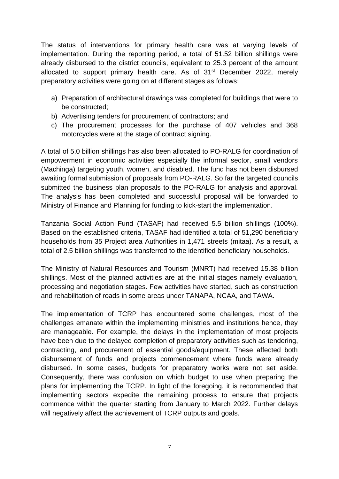The status of interventions for primary health care was at varying levels of implementation. During the reporting period, a total of 51.52 billion shillings were already disbursed to the district councils, equivalent to 25.3 percent of the amount allocated to support primary health care. As of 31<sup>st</sup> December 2022, merely preparatory activities were going on at different stages as follows:

- a) Preparation of architectural drawings was completed for buildings that were to be constructed;
- b) Advertising tenders for procurement of contractors; and
- c) The procurement processes for the purchase of 407 vehicles and 368 motorcycles were at the stage of contract signing.

A total of 5.0 billion shillings has also been allocated to PO-RALG for coordination of empowerment in economic activities especially the informal sector, small vendors (Machinga) targeting youth, women, and disabled. The fund has not been disbursed awaiting formal submission of proposals from PO-RALG. So far the targeted councils submitted the business plan proposals to the PO-RALG for analysis and approval. The analysis has been completed and successful proposal will be forwarded to Ministry of Finance and Planning for funding to kick-start the implementation.

Tanzania Social Action Fund (TASAF) had received 5.5 billion shillings (100%). Based on the established criteria, TASAF had identified a total of 51,290 beneficiary households from 35 Project area Authorities in 1,471 streets (mitaa). As a result, a total of 2.5 billion shillings was transferred to the identified beneficiary households.

The Ministry of Natural Resources and Tourism (MNRT) had received 15.38 billion shillings. Most of the planned activities are at the initial stages namely evaluation, processing and negotiation stages. Few activities have started, such as construction and rehabilitation of roads in some areas under TANAPA, NCAA, and TAWA.

The implementation of TCRP has encountered some challenges, most of the challenges emanate within the implementing ministries and institutions hence, they are manageable. For example, the delays in the implementation of most projects have been due to the delayed completion of preparatory activities such as tendering, contracting, and procurement of essential goods/equipment. These affected both disbursement of funds and projects commencement where funds were already disbursed. In some cases, budgets for preparatory works were not set aside. Consequently, there was confusion on which budget to use when preparing the plans for implementing the TCRP. In light of the foregoing, it is recommended that implementing sectors expedite the remaining process to ensure that projects commence within the quarter starting from January to March 2022. Further delays will negatively affect the achievement of TCRP outputs and goals.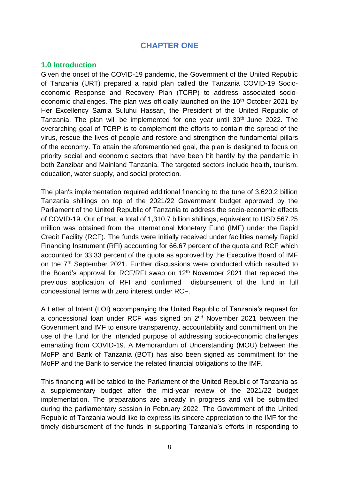## **CHAPTER ONE**

### <span id="page-8-1"></span><span id="page-8-0"></span>**1.0 Introduction**

Given the onset of the COVID-19 pandemic, the Government of the United Republic of Tanzania (URT) prepared a rapid plan called the Tanzania COVID-19 Socioeconomic Response and Recovery Plan (TCRP) to address associated socioeconomic challenges. The plan was officially launched on the 10<sup>th</sup> October 2021 by Her Excellency Samia Suluhu Hassan, the President of the United Republic of Tanzania. The plan will be implemented for one year until 30<sup>th</sup> June 2022. The overarching goal of TCRP is to complement the efforts to contain the spread of the virus, rescue the lives of people and restore and strengthen the fundamental pillars of the economy. To attain the aforementioned goal, the plan is designed to focus on priority social and economic sectors that have been hit hardly by the pandemic in both Zanzibar and Mainland Tanzania. The targeted sectors include health, tourism, education, water supply, and social protection.

The plan's implementation required additional financing to the tune of 3,620.2 billion Tanzania shillings on top of the 2021/22 Government budget approved by the Parliament of the United Republic of Tanzania to address the socio-economic effects of COVID-19. Out of that, a total of 1,310.7 billion shillings, equivalent to USD 567.25 million was obtained from the International Monetary Fund (IMF) under the Rapid Credit Facility (RCF). The funds were initially received under facilities namely Rapid Financing Instrument (RFI) accounting for 66.67 percent of the quota and RCF which accounted for 33.33 percent of the quota as approved by the Executive Board of IMF on the 7<sup>th</sup> September 2021. Further discussions were conducted which resulted to the Board's approval for RCF/RFI swap on  $12<sup>th</sup>$  November 2021 that replaced the previous application of RFI and confirmed disbursement of the fund in full concessional terms with zero interest under RCF.

A Letter of Intent (LOI) accompanying the United Republic of Tanzania's request for a concessional loan under RCF was signed on 2nd November 2021 between the Government and IMF to ensure transparency, accountability and commitment on the use of the fund for the intended purpose of addressing socio-economic challenges emanating from COVID-19. A Memorandum of Understanding (MOU) between the MoFP and Bank of Tanzania (BOT) has also been signed as commitment for the MoFP and the Bank to service the related financial obligations to the IMF.

This financing will be tabled to the Parliament of the United Republic of Tanzania as a supplementary budget after the mid-year review of the 2021/22 budget implementation. The preparations are already in progress and will be submitted during the parliamentary session in February 2022. The Government of the United Republic of Tanzania would like to express its sincere appreciation to the IMF for the timely disbursement of the funds in supporting Tanzania's efforts in responding to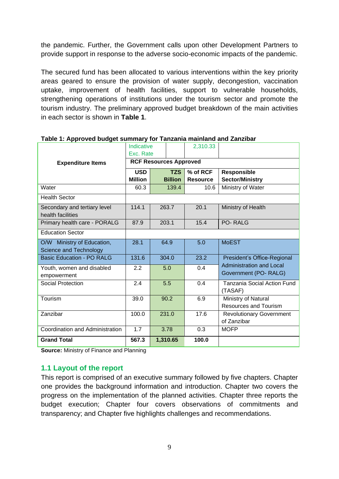the pandemic. Further, the Government calls upon other Development Partners to provide support in response to the adverse socio-economic impacts of the pandemic.

The secured fund has been allocated to various interventions within the key priority areas geared to ensure the provision of water supply, decongestion, vaccination uptake, improvement of health facilities, support to vulnerable households, strengthening operations of institutions under the tourism sector and promote the tourism industry. The preliminary approved budget breakdown of the main activities in each sector is shown in **Table 1**.

h

|                                  | Indicative<br>Exc. Rate       |  |                | 2,310.33        |                                 |
|----------------------------------|-------------------------------|--|----------------|-----------------|---------------------------------|
| <b>Expenditure Items</b>         | <b>RCF Resources Approved</b> |  |                |                 |                                 |
|                                  | <b>USD</b>                    |  | <b>TZS</b>     | % of RCF        | <b>Responsible</b>              |
|                                  | <b>Million</b>                |  | <b>Billion</b> | <b>Resource</b> | <b>Sector/Ministry</b>          |
| Water                            | 60.3                          |  | 139.4          | 10.6            | Ministry of Water               |
| <b>Health Sector</b>             |                               |  |                |                 |                                 |
| Secondary and tertiary level     | 114.1                         |  | 263.7          | 20.1            | Ministry of Health              |
| health facilities                |                               |  |                |                 |                                 |
| Primary health care - PORALG     | 87.9                          |  | 203.1          | 15.4            | <b>PO-RALG</b>                  |
| <b>Education Sector</b>          |                               |  |                |                 |                                 |
| O/W Ministry of Education,       | 28.1                          |  | 64.9           | 5.0             | <b>MoEST</b>                    |
| <b>Science and Technology</b>    |                               |  |                |                 |                                 |
| <b>Basic Education - PO RALG</b> | 131.6                         |  | 304.0          | 23.2            | President's Office-Regional     |
| Youth, women and disabled        | 2.2                           |  | 5.0            | 0.4             | <b>Administration and Local</b> |
| empowerment                      |                               |  |                |                 | Government (PO-RALG)            |
| <b>Social Protection</b>         | 2.4                           |  | 5.5            | 0.4             | Tanzania Social Action Fund     |
|                                  |                               |  |                |                 | (TASAF)                         |
| Tourism                          | 39.0                          |  | 90.2           | 6.9             | Ministry of Natural             |
|                                  |                               |  |                |                 | Resources and Tourism           |
| Zanzibar                         | 100.0                         |  | 231.0          | 17.6            | <b>Revolutionary Government</b> |
|                                  |                               |  |                |                 | of Zanzibar                     |
| Coordination and Administration  | 1.7                           |  | 3.78           | 0.3             | <b>MOFP</b>                     |
| <b>Grand Total</b>               | 567.3                         |  | 1,310.65       | 100.0           |                                 |

<span id="page-9-1"></span>**Table 1: Approved budget summary for Tanzania mainland and Zanzibar**

**Source:** Ministry of Finance and Planning

### <span id="page-9-0"></span>**1.1 Layout of the report**

This report is comprised of an executive summary followed by five chapters. Chapter one provides the background information and introduction. Chapter two covers the progress on the implementation of the planned activities. Chapter three reports the budget execution; Chapter four covers observations of commitments and transparency; and Chapter five highlights challenges and recommendations.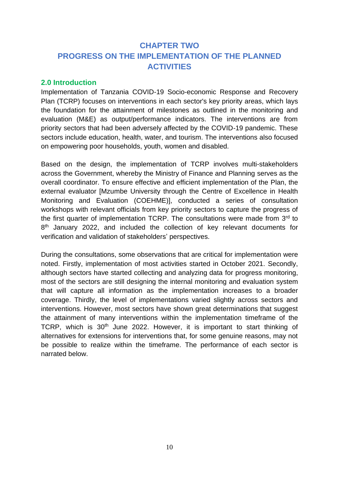# <span id="page-10-1"></span><span id="page-10-0"></span>**CHAPTER TWO PROGRESS ON THE IMPLEMENTATION OF THE PLANNED ACTIVITIES**

### <span id="page-10-2"></span>**2.0 Introduction**

Implementation of Tanzania COVID-19 Socio-economic Response and Recovery Plan (TCRP) focuses on interventions in each sector's key priority areas, which lays the foundation for the attainment of milestones as outlined in the monitoring and evaluation (M&E) as output/performance indicators. The interventions are from priority sectors that had been adversely affected by the COVID-19 pandemic. These sectors include education, health, water, and tourism. The interventions also focused on empowering poor households, youth, women and disabled.

Based on the design, the implementation of TCRP involves multi-stakeholders across the Government, whereby the Ministry of Finance and Planning serves as the overall coordinator. To ensure effective and efficient implementation of the Plan, the external evaluator *[Mzumbe University through the Centre of Excellence in Health* Monitoring and Evaluation (COEHME)], conducted a series of consultation workshops with relevant officials from key priority sectors to capture the progress of the first quarter of implementation TCRP. The consultations were made from 3<sup>rd</sup> to 8<sup>th</sup> January 2022, and included the collection of key relevant documents for verification and validation of stakeholders' perspectives.

During the consultations, some observations that are critical for implementation were noted. Firstly, implementation of most activities started in October 2021. Secondly, although sectors have started collecting and analyzing data for progress monitoring, most of the sectors are still designing the internal monitoring and evaluation system that will capture all information as the implementation increases to a broader coverage. Thirdly, the level of implementations varied slightly across sectors and interventions. However, most sectors have shown great determinations that suggest the attainment of many interventions within the implementation timeframe of the TCRP, which is 30<sup>th</sup> June 2022. However, it is important to start thinking of alternatives for extensions for interventions that, for some genuine reasons, may not be possible to realize within the timeframe. The performance of each sector is narrated below.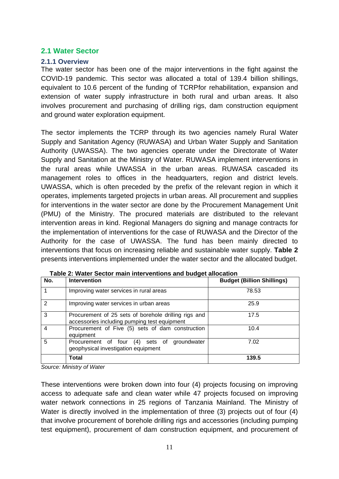### <span id="page-11-0"></span>**2.1 Water Sector**

### <span id="page-11-1"></span>**2.1.1 Overview**

The water sector has been one of the major interventions in the fight against the COVID-19 pandemic. This sector was allocated a total of 139.4 billion shillings, equivalent to 10.6 percent of the funding of TCRPfor rehabilitation, expansion and extension of water supply infrastructure in both rural and urban areas. It also involves procurement and purchasing of drilling rigs, dam construction equipment and ground water exploration equipment.

The sector implements the TCRP through its two agencies namely Rural Water Supply and Sanitation Agency (RUWASA) and Urban Water Supply and Sanitation Authority (UWASSA). The two agencies operate under the Directorate of Water Supply and Sanitation at the Ministry of Water. RUWASA implement interventions in the rural areas while UWASSA in the urban areas. RUWASA cascaded its management roles to offices in the headquarters, region and district levels. UWASSA, which is often preceded by the prefix of the relevant region in which it operates, implements targeted projects in urban areas. All procurement and supplies for interventions in the water sector are done by the Procurement Management Unit (PMU) of the Ministry. The procured materials are distributed to the relevant intervention areas in kind. Regional Managers do signing and manage contracts for the implementation of interventions for the case of RUWASA and the Director of the Authority for the case of UWASSA. The fund has been mainly directed to interventions that focus on increasing reliable and sustainable water supply. **Table 2** presents interventions implemented under the water sector and the allocated budget.

| No.           | <b>Intervention</b>                                                                                  | <b>Budget (Billion Shillings)</b> |
|---------------|------------------------------------------------------------------------------------------------------|-----------------------------------|
|               | Improving water services in rural areas                                                              | 78.53                             |
| $\mathcal{P}$ | Improving water services in urban areas                                                              | 25.9                              |
| 3             | Procurement of 25 sets of borehole drilling rigs and<br>accessories including pumping test equipment | 17.5                              |
| 4             | Procurement of Five (5) sets of dam construction<br>equipment                                        | 10.4                              |
| 5             | groundwater<br>Procurement of four (4) sets of<br>geophysical investigation equipment                | 7.02                              |
|               | <b>Total</b>                                                                                         | 139.5                             |

<span id="page-11-2"></span>

*Source: Ministry of Water*

These interventions were broken down into four (4) projects focusing on improving access to adequate safe and clean water while 47 projects focused on improving water network connections in 25 regions of Tanzania Mainland. The Ministry of Water is directly involved in the implementation of three (3) projects out of four (4) that involve procurement of borehole drilling rigs and accessories (including pumping test equipment), procurement of dam construction equipment, and procurement of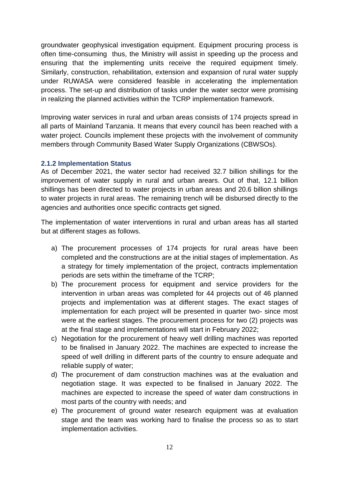groundwater geophysical investigation equipment. Equipment procuring process is often time-consuming thus, the Ministry will assist in speeding up the process and ensuring that the implementing units receive the required equipment timely. Similarly, construction, rehabilitation, extension and expansion of rural water supply under RUWASA were considered feasible in accelerating the implementation process. The set-up and distribution of tasks under the water sector were promising in realizing the planned activities within the TCRP implementation framework.

Improving water services in rural and urban areas consists of 174 projects spread in all parts of Mainland Tanzania. It means that every council has been reached with a water project. Councils implement these projects with the involvement of community members through Community Based Water Supply Organizations (CBWSOs).

### <span id="page-12-0"></span>**2.1.2 Implementation Status**

As of December 2021, the water sector had received 32.7 billion shillings for the improvement of water supply in rural and urban arears. Out of that, 12.1 billion shillings has been directed to water projects in urban areas and 20.6 billion shillings to water projects in rural areas. The remaining trench will be disbursed directly to the agencies and authorities once specific contracts get signed.

The implementation of water interventions in rural and urban areas has all started but at different stages as follows.

- a) The procurement processes of 174 projects for rural areas have been completed and the constructions are at the initial stages of implementation. As a strategy for timely implementation of the project, contracts implementation periods are sets within the timeframe of the TCRP;
- b) The procurement process for equipment and service providers for the intervention in urban areas was completed for 44 projects out of 46 planned projects and implementation was at different stages. The exact stages of implementation for each project will be presented in quarter two- since most were at the earliest stages. The procurement process for two (2) projects was at the final stage and implementations will start in February 2022;
- c) Negotiation for the procurement of heavy well drilling machines was reported to be finalised in January 2022. The machines are expected to increase the speed of well drilling in different parts of the country to ensure adequate and reliable supply of water;
- d) The procurement of dam construction machines was at the evaluation and negotiation stage. It was expected to be finalised in January 2022. The machines are expected to increase the speed of water dam constructions in most parts of the country with needs; and
- e) The procurement of ground water research equipment was at evaluation stage and the team was working hard to finalise the process so as to start implementation activities.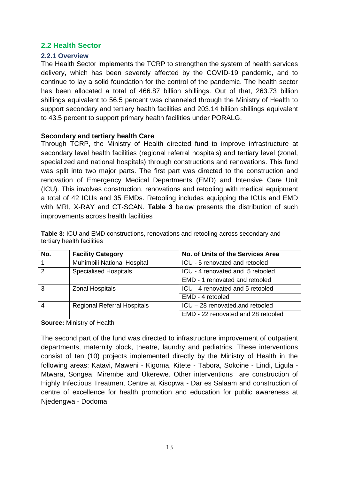### <span id="page-13-0"></span>**2.2 Health Sector**

### <span id="page-13-1"></span>**2.2.1 Overview**

The Health Sector implements the TCRP to strengthen the system of health services delivery, which has been severely affected by the COVID-19 pandemic, and to continue to lay a solid foundation for the control of the pandemic. The health sector has been allocated a total of 466.87 billion shillings. Out of that, 263.73 billion shillings equivalent to 56.5 percent was channeled through the Ministry of Health to support secondary and tertiary health facilities and 203.14 billion shillings equivalent to 43.5 percent to support primary health facilities under PORALG.

### **Secondary and tertiary health Care**

Through TCRP, the Ministry of Health directed fund to improve infrastructure at secondary level health facilities (regional referral hospitals) and tertiary level (zonal, specialized and national hospitals) through constructions and renovations. This fund was split into two major parts. The first part was directed to the construction and renovation of Emergency Medical Departments (EMD) and Intensive Care Unit (ICU). This involves construction, renovations and retooling with medical equipment a total of 42 ICUs and 35 EMDs. Retooling includes equipping the ICUs and EMD with MRI, X-RAY and CT-SCAN. **Table 3** below presents the distribution of such improvements across health facilities

| No. | <b>Facility Category</b>           | No. of Units of the Services Area  |
|-----|------------------------------------|------------------------------------|
|     | Muhimbili National Hospital        | ICU - 5 renovated and retooled     |
| 2   | <b>Specialised Hospitals</b>       | ICU - 4 renovated and 5 retooled   |
|     |                                    | EMD - 1 renovated and retooled     |
| 3   | <b>Zonal Hospitals</b>             | ICU - 4 renovated and 5 retooled   |
|     |                                    | EMD - 4 retooled                   |
| 4   | <b>Regional Referral Hospitals</b> | ICU - 28 renovated, and retooled   |
|     |                                    | EMD - 22 renovated and 28 retooled |

<span id="page-13-2"></span>**Table 3:** ICU and EMD constructions, renovations and retooling across secondary and tertiary health facilities

**Source:** Ministry of Health

The second part of the fund was directed to infrastructure improvement of outpatient departments, maternity block, theatre, laundry and pediatrics. These interventions consist of ten (10) projects implemented directly by the Ministry of Health in the following areas: Katavi, Maweni - Kigoma, Kitete - Tabora, Sokoine - Lindi, Ligula - Mtwara, Songea, Mirembe and Ukerewe. Other interventions are construction of Highly Infectious Treatment Centre at Kisopwa - Dar es Salaam and construction of centre of excellence for health promotion and education for public awareness at Njedengwa - Dodoma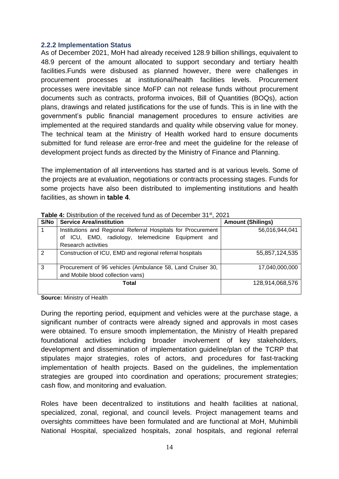#### <span id="page-14-0"></span>**2.2.2 Implementation Status**

As of December 2021, MoH had already received 128.9 billion shillings, equivalent to 48.9 percent of the amount allocated to support secondary and tertiary health facilities.Funds were disbused as planned however, there were challenges in procurement processes at institutional/health facilities levels. Procurement processes were inevitable since MoFP can not release funds without procurement documents such as contracts, proforma invoices, Bill of Quantities (BOQs), action plans, drawings and related justifications for the use of funds. This is in line with the government's public financial management procedures to ensure activities are implemented at the required standards and quality while observing value for money. The technical team at the Ministry of Health worked hard to ensure documents submitted for fund release are error-free and meet the guideline for the release of development project funds as directed by the Ministry of Finance and Planning.

The implementation of all interventions has started and is at various levels. Some of the projects are at evaluation, negotiations or contracts processing stages. Funds for some projects have also been distributed to implementing institutions and health facilities, as shown in **table 4**.

| S/No           | <b>Service Area/institution</b>                              | <b>Amount (Shilings)</b> |  |  |  |
|----------------|--------------------------------------------------------------|--------------------------|--|--|--|
|                | Institutions and Regional Referral Hospitals for Procurement | 56,016,944,041           |  |  |  |
|                | of ICU, EMD, radiology, telemedicine Equipment and           |                          |  |  |  |
|                | Research activities                                          |                          |  |  |  |
| $\overline{2}$ | Construction of ICU, EMD and regional referral hospitals     | 55,857,124,535           |  |  |  |
|                |                                                              |                          |  |  |  |
| 3              | Procurement of 96 vehicles (Ambulance 58, Land Cruiser 30,   | 17.040.000.000           |  |  |  |
|                | and Mobile blood collection vans)                            |                          |  |  |  |
|                | Total                                                        | 128,914,068,576          |  |  |  |
|                |                                                              |                          |  |  |  |

<span id="page-14-1"></span>**Table 4:** Distribution of the received fund as of December 31st, 2021

**Source:** Ministry of Health

During the reporting period, equipment and vehicles were at the purchase stage, a significant number of contracts were already signed and approvals in most cases were obtained. To ensure smooth implementation, the Ministry of Health prepared foundational activities including broader involvement of key stakeholders, development and dissemination of implementation guideline/plan of the TCRP that stipulates major strategies, roles of actors, and procedures for fast-tracking implementation of health projects. Based on the guidelines, the implementation strategies are grouped into coordination and operations; procurement strategies; cash flow, and monitoring and evaluation.

Roles have been decentralized to institutions and health facilities at national, specialized, zonal, regional, and council levels. Project management teams and oversights committees have been formulated and are functional at MoH, Muhimbili National Hospital, specialized hospitals, zonal hospitals, and regional referral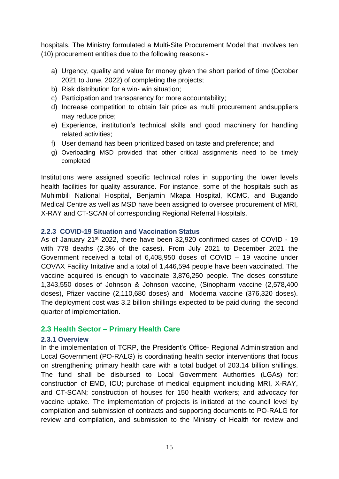hospitals. The Ministry formulated a Multi-Site Procurement Model that involves ten (10) procurement entities due to the following reasons:-

- a) Urgency, quality and value for money given the short period of time (October 2021 to June, 2022) of completing the projects;
- b) Risk distribution for a win- win situation;
- c) Participation and transparency for more accountability;
- d) Increase competition to obtain fair price as multi procurement andsuppliers may reduce price;
- e) Experience, institution's technical skills and good machinery for handling related activities;
- f) User demand has been prioritized based on taste and preference; and
- g) Overloading MSD provided that other critical assignments need to be timely completed

Institutions were assigned specific technical roles in supporting the lower levels health facilities for quality assurance. For instance, some of the hospitals such as Muhimbili National Hospital, Benjamin Mkapa Hospital, KCMC, and Bugando Medical Centre as well as MSD have been assigned to oversee procurement of MRI, X-RAY and CT-SCAN of corresponding Regional Referral Hospitals.

### <span id="page-15-0"></span>**2.2.3 COVID-19 Situation and Vaccination Status**

As of January 21<sup>st</sup> 2022, there have been 32,920 confirmed cases of COVID - 19 with 778 deaths (2.3% of the cases). From July 2021 to December 2021 the Government received a total of 6,408,950 doses of COVID – 19 vaccine under COVAX Facility Initative and a total of 1,446,594 people have been vaccinated. The vaccine acquired is enough to vaccinate 3,876,250 people. The doses constitute 1,343,550 doses of Johnson & Johnson vaccine, (Sinopharm vaccine (2,578,400 doses), Pfizer vaccine (2,110,680 doses) and Moderna vaccine (376,320 doses). The deployment cost was 3.2 billion shillings expected to be paid during the second quarter of implementation.

### <span id="page-15-1"></span>**2.3 Health Sector – Primary Health Care**

### <span id="page-15-2"></span>**2.3.1 Overview**

In the implementation of TCRP, the President's Office- Regional Administration and Local Government (PO-RALG) is coordinating health sector interventions that focus on strengthening primary health care with a total budget of 203.14 billion shillings. The fund shall be disbursed to Local Government Authorities (LGAs) for: construction of EMD, ICU; purchase of medical equipment including MRI, X-RAY, and CT-SCAN; construction of houses for 150 health workers; and advocacy for vaccine uptake. The implementation of projects is initiated at the council level by compilation and submission of contracts and supporting documents to PO-RALG for review and compilation, and submission to the Ministry of Health for review and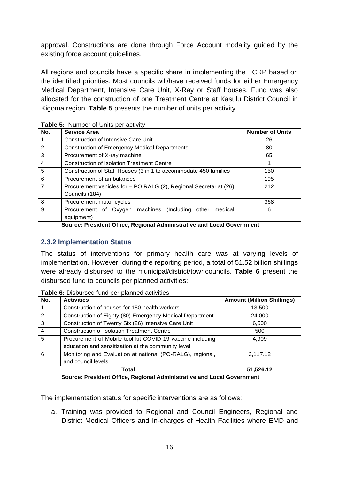approval. Constructions are done through Force Account modality guided by the existing force account guidelines.

All regions and councils have a specific share in implementing the TCRP based on the identified priorities. Most councils will/have received funds for either Emergency Medical Department, Intensive Care Unit, X-Ray or Staff houses. Fund was also allocated for the construction of one Treatment Centre at Kasulu District Council in Kigoma region. **Table 5** presents the number of units per activity.

| No.            | <b>Service Area</b>                                                      | <b>Number of Units</b> |  |
|----------------|--------------------------------------------------------------------------|------------------------|--|
|                | <b>Construction of Intensive Care Unit</b>                               | 26                     |  |
| $\overline{2}$ | <b>Construction of Emergency Medical Departments</b>                     | 80                     |  |
| 3              | Procurement of X-ray machine                                             | 65                     |  |
| $\overline{4}$ | <b>Construction of Isolation Treatment Centre</b>                        |                        |  |
| 5              | Construction of Staff Houses (3 in 1 to accommodate 450 families         | 150                    |  |
| 6              | Procurement of ambulances                                                | 195                    |  |
| $\overline{7}$ | Procurement vehicles for - PO RALG (2), Regional Secretariat (26)<br>212 |                        |  |
|                | Councils (184)                                                           |                        |  |
| 8              | Procurement motor cycles                                                 | 368                    |  |
| 9              | Procurement of Oxygen machines (Including other medical                  | 6                      |  |
|                | equipment)                                                               |                        |  |

#### <span id="page-16-3"></span>**Table 5:** Number of Units per activity

**Source: President Office, Regional Administrative and Local Government**

### <span id="page-16-1"></span><span id="page-16-0"></span>**2.3.2 Implementation Status**

The status of interventions for primary health care was at varying levels of implementation. However, during the reporting period, a total of 51.52 billion shillings were already disbursed to the municipal/district/towncouncils. **Table 6** present the disbursed fund to councils per planned activities:

| No. | <b>Activities</b>                                          | <b>Amount (Million Shillings)</b> |
|-----|------------------------------------------------------------|-----------------------------------|
|     | Construction of houses for 150 health workers              | 13,500                            |
| 2   | Construction of Eighty (80) Emergency Medical Department   | 24,000                            |
| 3   | Construction of Twenty Six (26) Intensive Care Unit        | 6,500                             |
| 4   | <b>Construction of Isolation Treatment Centre</b>          | 500                               |
| 5   | Procurement of Mobile tool kit COVID-19 vaccine including  | 4,909                             |
|     | education and sensitization at the community level         |                                   |
| 6   | Monitoring and Evaluation at national (PO-RALG), regional, | 2,117.12                          |
|     | and council levels                                         |                                   |
|     | Total                                                      | 51,526.12                         |

<span id="page-16-4"></span>**Table 6:** Disbursed fund per planned activities

**Source: President Office, Regional Administrative and Local Government**

<span id="page-16-2"></span>The implementation status for specific interventions are as follows:

a. Training was provided to Regional and Council Engineers, Regional and District Medical Officers and In-charges of Health Facilities where EMD and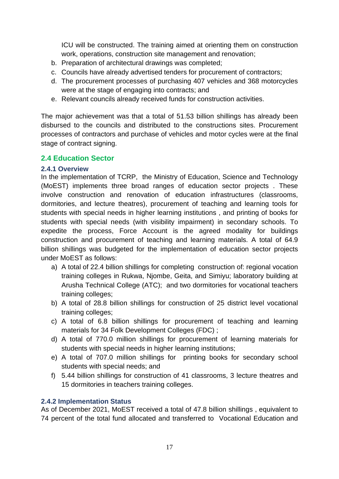ICU will be constructed. The training aimed at orienting them on construction work, operations, construction site management and renovation;

- b. Preparation of architectural drawings was completed;
- c. Councils have already advertised tenders for procurement of contractors;
- d. The procurement processes of purchasing 407 vehicles and 368 motorcycles were at the stage of engaging into contracts; and
- e. Relevant councils already received funds for construction activities.

The major achievement was that a total of 51.53 billion shillings has already been disbursed to the councils and distributed to the constructions sites. Procurement processes of contractors and purchase of vehicles and motor cycles were at the final stage of contract signing.

### <span id="page-17-0"></span>**2.4 Education Sector**

#### <span id="page-17-1"></span>**2.4.1 Overview**

In the implementation of TCRP, the Ministry of Education, Science and Technology (MoEST) implements three broad ranges of education sector projects . These involve construction and renovation of education infrastructures (classrooms, dormitories, and lecture theatres), procurement of teaching and learning tools for students with special needs in higher learning institutions , and printing of books for students with special needs (with visibility impairment) in secondary schools. To expedite the process, Force Account is the agreed modality for buildings construction and procurement of teaching and learning materials. A total of 64.9 billion shillings was budgeted for the implementation of education sector projects under MoEST as follows:

- a) A total of 22.4 billion shillings for completing construction of: regional vocation training colleges in Rukwa, Njombe, Geita, and Simiyu; laboratory building at Arusha Technical College (ATC); and two dormitories for vocational teachers training colleges;
- b) A total of 28.8 billion shillings for construction of 25 district level vocational training colleges;
- c) A total of 6.8 billion shillings for procurement of teaching and learning materials for 34 Folk Development Colleges (FDC) ;
- d) A total of 770.0 million shillings for procurement of learning materials for students with special needs in higher learning institutions;
- e) A total of 707.0 million shillings for printing books for secondary school students with special needs; and
- f) 5.44 billion shillings for construction of 41 classrooms, 3 lecture theatres and 15 dormitories in teachers training colleges.

### <span id="page-17-2"></span>**2.4.2 Implementation Status**

As of December 2021, MoEST received a total of 47.8 billion shillings , equivalent to 74 percent of the total fund allocated and transferred to Vocational Education and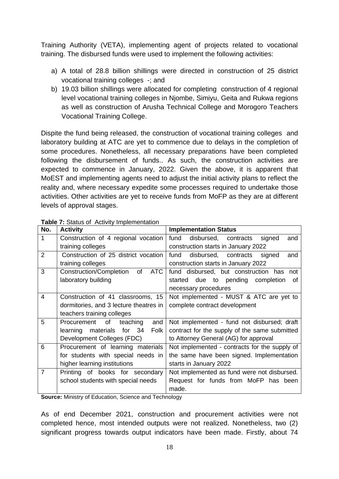Training Authority (VETA), implementing agent of projects related to vocational training. The disbursed funds were used to implement the following activities:

- a) A total of 28.8 billion shillings were directed in construction of 25 district vocational training colleges -; and
- b) 19.03 billion shillings were allocated for completing construction of 4 regional level vocational training colleges in Njombe, Simiyu, Geita and Rukwa regions as well as construction of Arusha Technical College and Morogoro Teachers Vocational Training College.

Dispite the fund being released, the construction of vocational training colleges and laboratory building at ATC are yet to commence due to delays in the completion of some procedures. Nonetheless, all necessary preparations have been completed following the disbursement of funds.. As such, the construction activities are expected to commence in January, 2022. Given the above, it is apparent that MoEST and implementing agents need to adjust the initial activity plans to reflect the reality and, where necessary expedite some processes required to undertake those activities. Other activities are yet to receive funds from MoFP as they are at different levels of approval stages.

| No.            | <b>Activity</b>                                    | <b>Implementation Status</b>                  |
|----------------|----------------------------------------------------|-----------------------------------------------|
| 1              | Construction of 4 regional vocation                | fund<br>disbursed, contracts<br>signed<br>and |
|                | training colleges                                  | construction starts in January 2022           |
| $\overline{2}$ | Construction of 25 district vocation               | disbursed, contracts signed<br>fund<br>and    |
|                | training colleges                                  | construction starts in January 2022           |
| 3              | <b>Construction/Completion</b><br><b>ATC</b><br>of | fund disbursed, but construction has not      |
|                | laboratory building                                | due to pending<br>completion<br>started<br>of |
|                |                                                    | necessary procedures                          |
| $\overline{4}$ | Construction of 41 classrooms, 15                  | Not implemented - MUST & ATC are yet to       |
|                | dormitories, and 3 lecture theatres in             | complete contract development                 |
|                | teachers training colleges                         |                                               |
| 5              | Procurement of<br>teaching<br>and                  | Not implemented - fund not disbursed; draft   |
|                | learning materials for 34<br>Folk                  | contract for the supply of the same submitted |
|                | Development Colleges (FDC)                         | to Attorney General (AG) for approval         |
| 6              | Procurement of learning materials                  | Not implemented - contracts for the supply of |
|                | for students with special needs in                 | the same have been signed. Implementation     |
|                | higher learning institutions                       | starts in January 2022                        |
| $\overline{7}$ | Printing of books for secondary                    | Not implemented as fund were not disbursed.   |
|                | school students with special needs                 | Request for funds from MoFP<br>has been       |
|                |                                                    | made.                                         |

<span id="page-18-0"></span>

| Table 7: Status of Activity Implementation |  |
|--------------------------------------------|--|
|                                            |  |

**Source:** Ministry of Education, Science and Technology

As of end December 2021, construction and procurement activities were not completed hence, most intended outputs were not realized. Nonetheless, two (2) significant progress towards output indicators have been made. Firstly, about 74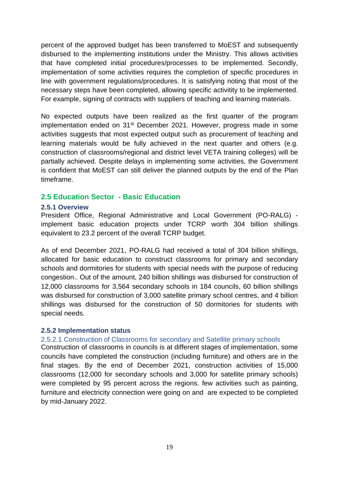percent of the approved budget has been transferred to MoEST and subsequently disbursed to the implementing institutions under the Ministry. This allows activities that have completed initial procedures/processes to be implemented. Secondly, implementation of some activities requires the completion of specific procedures in line with government regulations/procedures. It is satisfying noting that most of the necessary steps have been completed, allowing specific activitity to be implemented. For example, signing of contracts with suppliers of teaching and learning materials.

No expected outputs have been realized as the first quarter of the program implementation ended on 31<sup>st</sup> December 2021. However, progress made in some activities suggests that most expected output such as procurement of teaching and learning materials would be fully achieved in the next quarter and others (e.g. construction of classrooms/regional and district level VETA training colleges) will be partially achieved. Despite delays in implementing some activities, the Government is confident that MoEST can still deliver the planned outputs by the end of the Plan timeframe.

### <span id="page-19-0"></span>**2.5 Education Sector - Basic Education**

### <span id="page-19-1"></span>**2.5.1 Overview**

President Office, Regional Administrative and Local Government (PO-RALG) implement basic education projects under TCRP worth 304 billion shillings equivalent to 23.2 percent of the overall TCRP budget.

As of end December 2021, PO-RALG had received a total of 304 billion shillings, allocated for basic education to construct classrooms for primary and secondary schools and dormitories for students with special needs with the purpose of reducing congestion.. Out of the amount, 240 billion shillings was disbursed for construction of 12,000 classrooms for 3,564 secondary schools in 184 councils, 60 billion shillings was disbursed for construction of 3,000 satellite primary school centres, and 4 billion shillings was disbursed for the construction of 50 dormitories for students with special needs.

### <span id="page-19-2"></span>**2.5.2 Implementation status**

### 2.5.2.1 Construction of Classrooms for secondary and Satellite primary schools

Construction of classrooms in councils is at different stages of implementation, some councils have completed the construction (including furniture) and others are in the final stages. By the end of December 2021, construction activities of 15,000 classrooms (12,000 for secondary schools and 3,000 for satellite primary schools) were completed by 95 percent across the regions. few activities such as painting, furniture and electricity connection were going on and are expected to be completed by mid-January 2022.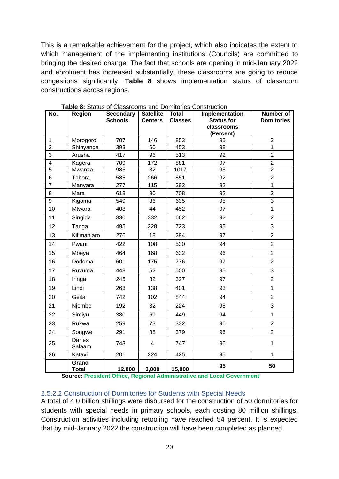This is a remarkable achievement for the project, which also indicates the extent to which management of the implementing institutions (Councils) are committed to bringing the desired change. The fact that schools are opening in mid-January 2022 and enrolment has increased substantially, these classrooms are going to reduce congestions significantly. **Table 8** shows implementation status of classroom constructions across regions.

| No.            | <b>Region</b>                  | <b>Secondary</b> | <b>Satellite</b> | <b>Total</b>   | Implementation                  | Number of         |
|----------------|--------------------------------|------------------|------------------|----------------|---------------------------------|-------------------|
|                |                                | <b>Schools</b>   | <b>Centers</b>   | <b>Classes</b> | <b>Status for</b><br>classrooms | <b>Domitories</b> |
|                |                                |                  |                  |                | (Percent)                       |                   |
| 1              | Morogoro                       | 707              | 146              | 853            | 95                              | 3                 |
| $\mathbf 2$    | Shinyanga                      | 393              | 60               | 453            | 98                              | $\mathbf{1}$      |
| 3              | Arusha                         | 417              | 96               | 513            | 92                              | $\overline{2}$    |
| 4              | Kagera                         | 709              | 172              | 881            | 97                              | $\overline{2}$    |
| $\overline{5}$ | Mwanza                         | 985              | 32               | 1017           | 95                              | $\overline{2}$    |
| 6              | Tabora                         | 585              | 266              | 851            | 92                              | $\overline{2}$    |
| $\overline{7}$ | Manyara                        | 277              | 115              | 392            | 92                              | $\overline{1}$    |
| 8              | Mara                           | 618              | 90               | 708            | 92                              | $\overline{c}$    |
| 9              | Kigoma                         | 549              | 86               | 635            | 95                              | $\overline{3}$    |
| 10             | Mtwara                         | 408              | 44               | 452            | 97                              | $\mathbf{1}$      |
| 11             | Singida                        | 330              | 332              | 662            | 92                              | $\overline{2}$    |
| 12             | Tanga                          | 495              | 228              | 723            | 95                              | 3                 |
| 13             | Kilimanjaro                    | 276              | 18               | 294            | 97                              | $\overline{2}$    |
| 14             | Pwani                          | 422              | 108              | 530            | 94                              | $\overline{2}$    |
| 15             | Mbeya                          | 464              | 168              | 632            | 96                              | $\overline{2}$    |
| 16             | Dodoma                         | 601              | 175              | 776            | 97                              | $\overline{2}$    |
| 17             | Ruvuma                         | 448              | 52               | 500            | 95                              | 3                 |
| 18             | Iringa                         | 245              | 82               | 327            | 97                              | $\overline{2}$    |
| 19             | Lindi                          | 263              | 138              | 401            | 93                              | $\mathbf{1}$      |
| 20             | Geita                          | 742              | 102              | 844            | 94                              | $\overline{2}$    |
| 21             | Njombe                         | 192              | 32               | 224            | 98                              | 3                 |
| 22             | Simiyu                         | 380              | 69               | 449            | 94                              | $\mathbf{1}$      |
| 23             | Rukwa                          | 259              | 73               | 332            | 96                              | $\overline{2}$    |
| 24             | Songwe                         | 291              | 88               | 379            | 96                              | $\overline{2}$    |
| 25             | $\overline{D}$ ar es<br>Salaam | 743              | $\overline{4}$   | 747            | 96                              | $\mathbf{1}$      |
| 26             | Katavi                         | 201              | 224              | 425            | 95                              | $\mathbf{1}$      |
|                | Grand<br><b>Total</b>          | 12,000           | 3,000            | 15,000         | 95                              | 50                |

<span id="page-20-1"></span>**Table 8:** Status of Classrooms and Domitories Construction

**Source: President Office, Regional Administrative and Local Government**

### <span id="page-20-0"></span>2.5.2.2 Construction of Dormitories for Students with Special Needs

A total of 4.0 billion shillings were disbursed for the construction of 50 dormitories for students with special needs in primary schools, each costing 80 million shillings. Construction activities including retooling have reached 54 percent. It is expected that by mid-January 2022 the construction will have been completed as planned.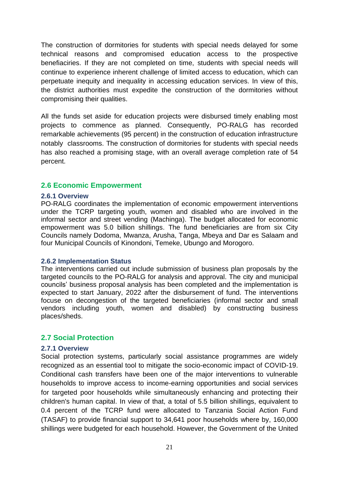The construction of dormitories for students with special needs delayed for some technical reasons and compromised education access to the prospective benefiaciries. If they are not completed on time, students with special needs will continue to experience inherent challenge of limited access to education, which can perpetuate inequity and inequality in accessing education services. In view of this, the district authorities must expedite the construction of the dormitories without compromising their qualities.

All the funds set aside for education projects were disbursed timely enabling most projects to commence as planned. Consequently, PO-RALG has recorded remarkable achievements (95 percent) in the construction of education infrastructure notably classrooms. The construction of dormitories for students with special needs has also reached a promising stage, with an overall average completion rate of 54 percent.

### <span id="page-21-0"></span>**2.6 Economic Empowerment**

#### <span id="page-21-1"></span>**2.6.1 Overview**

PO-RALG coordinates the implementation of economic empowerment interventions under the TCRP targeting youth, women and disabled who are involved in the informal sector and street vending (Machinga). The budget allocated for economic empowerment was 5.0 billion shillings. The fund beneficiaries are from six City Councils namely Dodoma, Mwanza, Arusha, Tanga, Mbeya and Dar es Salaam and four Municipal Councils of Kinondoni, Temeke, Ubungo and Morogoro.

### <span id="page-21-2"></span>**2.6.2 Implementation Status**

The interventions carried out include submission of business plan proposals by the targeted councils to the PO-RALG for analysis and approval. The city and municipal councils' business proposal analysis has been completed and the implementation is expected to start January, 2022 after the disbursement of fund. The interventions focuse on decongestion of the targeted beneficiaries (informal sector and small vendors including youth, women and disabled) by constructing business places/sheds.

### <span id="page-21-3"></span>**2.7 Social Protection**

#### <span id="page-21-4"></span>**2.7.1 Overview**

Social protection systems, particularly social assistance programmes are widely recognized as an essential tool to mitigate the socio-economic impact of COVID-19. Conditional cash transfers have been one of the major interventions to vulnerable households to improve access to income-earning opportunities and social services for targeted poor households while simultaneously enhancing and protecting their children's human capital. In view of that, a total of 5.5 billion shillings, equivalent to 0.4 percent of the TCRP fund were allocated to Tanzania Social Action Fund (TASAF) to provide financial support to 34,641 poor households where by, 160,000 shillings were budgeted for each household. However, the Government of the United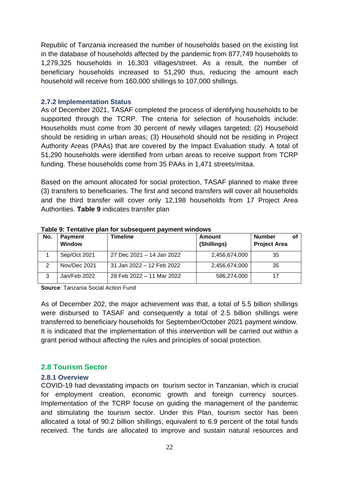Republic of Tanzania increased the number of households based on the existing list in the database of households affected by the pandemic from 877,749 households to 1,279,325 households in 16,303 villages/street. As a result, the number of beneficiary households increased to 51,290 thus, reducing the amount each household will receive from 160,000 shillings to 107,000 shillings.

### <span id="page-22-0"></span>**2.7.2 Implementation Status**

As of December 2021, TASAF completed the process of identifying households to be supported through the TCRP. The criteria for selection of households include: Households must come from 30 percent of newly villages targeted; (2) Household should be residing in urban areas; (3) Household should not be residing in Project Authority Areas (PAAs) that are covered by the Impact Evaluation study. A total of 51,290 households were identified from urban areas to receive support from TCRP funding. These households come from 35 PAAs in 1,471 streets/mitaa.

Based on the amount allocated for social protection, TASAF planned to make three (3) transfers to beneficiaries. The first and second transfers will cover all households and the third transfer will cover only 12,198 households from 17 Project Area Authorities. **Table 9** indicates transfer plan

| No. | <b>Payment</b><br>Window | Timeline                  | Amount<br>(Shillings) | <b>Number</b><br><b>Project Area</b> |  |
|-----|--------------------------|---------------------------|-----------------------|--------------------------------------|--|
|     | Sep/Oct 2021             | 27 Dec 2021 - 14 Jan 2022 | 2,456,674,000         | 35                                   |  |
| 2   | Nov/Dec 2021             | 31 Jan 2022 - 12 Feb 2022 | 2,456,674,000         | 35                                   |  |
|     | Jan/Feb 2022             | 28 Feb 2022 - 11 Mar 2022 | 586,274,000           | 17                                   |  |

<span id="page-22-3"></span>**Table 9: Tentative plan for subsequent payment windows**

**Source**: Tanzania Social Action Fund

As of December 202, the major achievement was that, a total of 5.5 billion shillings were disbursed to TASAF and consequently a total of 2.5 billion shillings were transferred to beneficiary households for September/October 2021 payment window. It is indicated that the implementation of this intervention will be carried out within a grant period without affecting the rules and principles of social protection.

### <span id="page-22-1"></span>**2.8 Tourism Sector**

### <span id="page-22-2"></span>**2.8.1 Overview**

COVID-19 had devastating impacts on [tourism sector](https://trade4devnews.enhancedif.org/en/news/covid-19-and-tourism-africas-protected-areas-impacts-and-recovery-needs) in Tanzanian, which is crucial for employment creation, economic growth and foreign currency sources. Implementation of the TCRP focuse on guiding the management of the pandemic and stimulating the tourism sector. Under this Plan, tourism sector has been allocated a total of 90.2 billion shillings, equivalent to 6.9 percent of the total funds received. The funds are allocated to improve and sustain natural resources and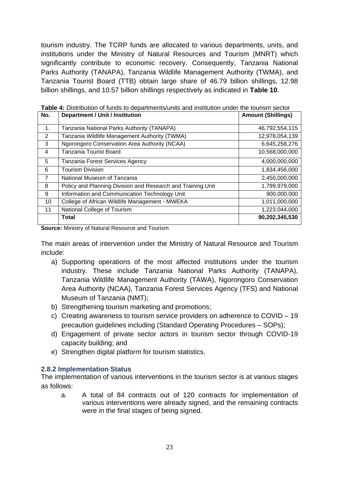tourism industry. The TCRP funds are allocated to various departments, units, and institutions under the Ministry of Natural Resources and Tourism (MNRT) which significantly contribute to economic recovery. Consequently, Tanzania National Parks Authority (TANAPA), Tanzania Wildlife Management Authority (TWMA), and Tanzania Tourist Board (TTB) obtain large share of 46.79 billion shillings, 12.98 billion shillings, and 10.57 billion shillings respectively as indicated in **Table 10**.

| No.            | <b>Department / Unit / Institution</b>                      | <b>Amount (Shillings)</b> |
|----------------|-------------------------------------------------------------|---------------------------|
|                |                                                             |                           |
| 1.             | Tanzania National Parks Authority (TANAPA)                  | 46,792,554,115            |
| 2              | Tanzania Wildlife Management Authority (TWMA)               | 12,978,054,139            |
| 3              | Ngorongoro Conservation Area Authority (NCAA)               | 6,645,258,276             |
| 4              | Tanzania Tourist Board                                      | 10,568,000,000            |
| 5              | Tanzania Forest Services Agency                             | 4,000,000,000             |
| 6              | <b>Tourism Division</b>                                     | 1,834,456,000             |
| $\overline{7}$ | National Museum of Tanzania                                 | 2,450,000,000             |
| 8              | Policy and Planning Division and Research and Training Unit | 1,799,979,000             |
| 9              | Information and Communication Technology Unit               | 900,000,000               |
| 10             | College of African Wildlife Management - MWEKA              | 1,011,000,000             |
| 11             | National College of Tourism                                 | 1,223,044,000             |
|                | <b>Total</b>                                                | 90,202,345,530            |

<span id="page-23-1"></span>**Table 4:** Distribution of funds to departments/units and institution under the tourism sector

**Source:** Ministry of Natural Resource and Tourism

The main areas of intervention under the Ministry of Natural Resource and Tourism include:

- a) Supporting operations of the most affected institutions under the tourism industry. These include Tanzania National Parks Authority (TANAPA), Tanzania Wildlife Management Authority (TAWA), Ngorongoro Conservation Area Authority (NCAA), Tanzania Forest Services Agency (TFS) and National Museum of Tanzania (NMT);
- b) Strengthening tourism marketing and promotions;
- c) Creating awareness to tourism service providers on adherence to COVID 19 precaution guidelines including (Standard Operating Procedures – SOPs);
- d) Engagement of private sector actors in tourism sector through COVID-19 capacity building; and
- e) Strengthen digital platform for tourism statistics.

### <span id="page-23-0"></span>**2.8.2 Implementation Status**

The implementation of various interventions in the tourism sector is at various stages as follows:

<span id="page-23-2"></span>a. A total of 84 contracts out of 120 contracts for implementation of various interventions were already signed, and the remaining contracts were in the final stages of being signed.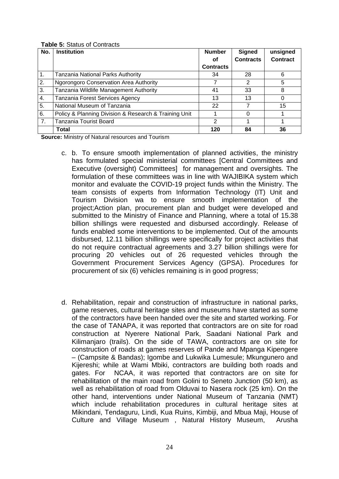#### **Table 5:** Status of Contracts

| No. | <b>Institution</b>                                    | <b>Number</b>    | <b>Signed</b>    | unsigned        |
|-----|-------------------------------------------------------|------------------|------------------|-----------------|
|     |                                                       | Οf               | <b>Contracts</b> | <b>Contract</b> |
|     |                                                       | <b>Contracts</b> |                  |                 |
| 1.  | Tanzania National Parks Authority                     | 34               | 28               | 6               |
| 2.  | <b>Ngorongoro Conservation Area Authority</b>         |                  | 2                | 5               |
| 3.  | Tanzania Wildlife Management Authority                | 41               | 33               | 8               |
| 4.  | Tanzania Forest Services Agency                       | 13               | 13               |                 |
| 5.  | National Museum of Tanzania                           | 22               |                  | 15              |
| 6.  | Policy & Planning Division & Research & Training Unit |                  | 0                |                 |
| 7.  | Tanzania Tourist Board                                | 2                |                  |                 |
|     | Total                                                 | 120              | 84               | 36              |

**Source:** Ministry of Natural resources and Tourism

- c. b. To ensure smooth implementation of planned activities, the ministry has formulated special ministerial committees [Central Committees and Executive (oversight) Committees] for management and oversights. The formulation of these committees was in line with WAJIBIKA system which monitor and evaluate the COVID-19 project funds within the Ministry. The team consists of experts from Information Technology (IT) Unit and Tourism Division wa to ensure smooth implementation of the project;Action plan, procurement plan and budget were developed and submitted to the Ministry of Finance and Planning, where a total of 15.38 billion shillings were requested and disbursed accordingly. Release of funds enabled some interventions to be implemented. Out of the amounts disbursed, 12.11 billion shillings were specifically for project activities that do not require contractual agreements and 3.27 billion shillings were for procuring 20 vehicles out of 26 requested vehicles through the Government Procurement Services Agency (GPSA). Procedures for procurement of six (6) vehicles remaining is in good progress;
- d. Rehabilitation, repair and construction of infrastructure in national parks, game reserves, cultural heritage sites and museums have started as some of the contractors have been handed over the site and started working. For the case of TANAPA, it was reported that contractors are on site for road construction at Nyerere National Park, Saadani National Park and Kilimanjaro (trails). On the side of TAWA, contractors are on site for construction of roads at games reserves of Pande and Mpanga Kipengere – (Campsite & Bandas); Igombe and Lukwika Lumesule; Mkungunero and Kijereshi; while at Wami Mbiki, contractors are building both roads and gates. For NCAA, it was reported that contractors are on site for rehabilitation of the main road from Golini to Seneto Junction (50 km), as well as rehabilitation of road from Olduvai to Nasera rock (25 km). On the other hand, interventions under National Museum of Tanzania (NMT) which include rehabilitation procedures in cultural heritage sites at Mikindani, Tendaguru, Lindi, Kua Ruins, Kimbiji, and Mbua Maji, House of Culture and Village Museum , Natural History Museum, Arusha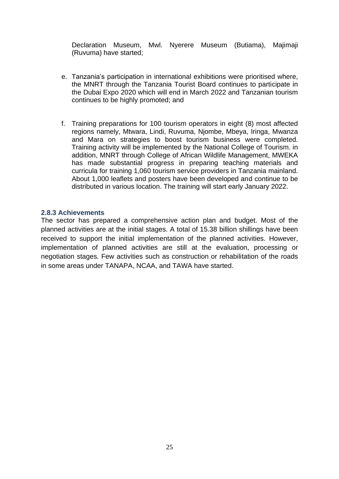Declaration Museum, Mwl. Nyerere Museum (Butiama), Majimaji (Ruvuma) have started;

- e. Tanzania's participation in international exhibitions were prioritised where, the MNRT through the Tanzania Tourist Board continues to participate in the Dubai Expo 2020 which will end in March 2022 and Tanzanian tourism continues to be highly promoted; and
- f. Training preparations for 100 tourism operators in eight (8) most affected regions namely, Mtwara, Lindi, Ruvuma, Njombe, Mbeya, Iringa, Mwanza and Mara on strategies to boost tourism business were completed. Training activity will be implemented by the National College of Tourism. in addition, MNRT through College of African Wildlife Management, MWEKA has made substantial progress in preparing teaching materials and curricula for training 1,060 tourism service providers in Tanzania mainland. About 1,000 leaflets and posters have been developed and continue to be distributed in various location. The training will start early January 2022.

#### <span id="page-25-0"></span>**2.8.3 Achievements**

The sector has prepared a comprehensive action plan and budget. Most of the planned activities are at the initial stages. A total of 15.38 billion shillings have been received to support the initial implementation of the planned activities. However, implementation of planned activities are still at the evaluation, processing or negotiation stages. Few activities such as construction or rehabilitation of the roads in some areas under TANAPA, NCAA, and TAWA have started.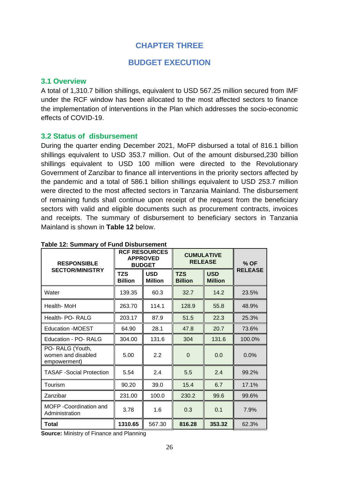## **CHAPTER THREE**

### **BUDGET EXECUTION**

### <span id="page-26-2"></span><span id="page-26-1"></span><span id="page-26-0"></span>**3.1 Overview**

A total of 1,310.7 billion shillings, equivalent to USD 567.25 million secured from IMF under the RCF window has been allocated to the most affected sectors to finance the implementation of interventions in the Plan which addresses the socio-economic effects of COVID-19.

### <span id="page-26-3"></span>**3.2 Status of disbursement**

During the quarter ending December 2021, MoFP disbursed a total of 816.1 billion shillings equivalent to USD 353.7 million. Out of the amount disbursed,230 billion shillings equivalent to USD 100 million were directed to the Revolutionary Government of Zanzibar to finance all interventions in the priority sectors affected by the pandemic and a total of 586.1 billion shillings equivalent to USD 253.7 million were directed to the most affected sectors in Tanzania Mainland. The disbursement of remaining funds shall continue upon receipt of the request from the beneficiary sectors with valid and eligible documents such as procurement contracts, invoices and receipts. The summary of disbursement to beneficiary sectors in Tanzania Mainland is shown in **Table 12** below.

| <b>RESPONSIBLE</b>                                    | <b>RCF RESOURCES</b><br><b>APPROVED</b><br><b>BUDGET</b> |                              | <b>CUMULATIVE</b><br><b>RELEASE</b> | $%$ OF                       |                |
|-------------------------------------------------------|----------------------------------------------------------|------------------------------|-------------------------------------|------------------------------|----------------|
| <b>SECTOR/MINISTRY</b>                                | TZS<br><b>Billion</b>                                    | <b>USD</b><br><b>Million</b> | <b>TZS</b><br><b>Billion</b>        | <b>USD</b><br><b>Million</b> | <b>RELEASE</b> |
| Water                                                 | 139.35                                                   | 60.3                         | 32.7                                | 14.2                         | 23.5%          |
| Health- MoH                                           | 263.70                                                   | 114.1                        | 128.9                               | 55.8                         | 48.9%          |
| Health- PO- RALG                                      | 203.17                                                   | 87.9                         | 51.5                                | 22.3                         | 25.3%          |
| <b>Education -MOEST</b>                               | 64.90                                                    | 28.1                         | 47.8                                | 20.7                         | 73.6%          |
| Education - PO- RALG                                  | 304.00                                                   | 131.6                        | 304                                 | 131.6                        | 100.0%         |
| PO-RALG (Youth,<br>women and disabled<br>empowerment) | 5.00                                                     | 2.2                          | $\Omega$                            | 0.0                          | $0.0\%$        |
| <b>TASAF</b> - Social Protection                      | 5.54                                                     | 2.4                          | 5.5                                 | 2.4                          | 99.2%          |
| Tourism                                               | 90.20                                                    | 39.0                         | 15.4                                | 6.7                          | 17.1%          |
| Zanzibar                                              | 231.00                                                   | 100.0                        | 230.2                               | 99.6                         | 99.6%          |
| MOFP -Coordination and<br>Administration              | 3.78                                                     | 1.6                          | 0.3                                 | 0.1                          | 7.9%           |
| Total                                                 | 1310.65                                                  | 567.30                       | 816.28                              | 353.32                       | 62.3%          |

#### <span id="page-26-4"></span>**Table 12: Summary of Fund Disbursement**

**Source:** Ministry of Finance and Planning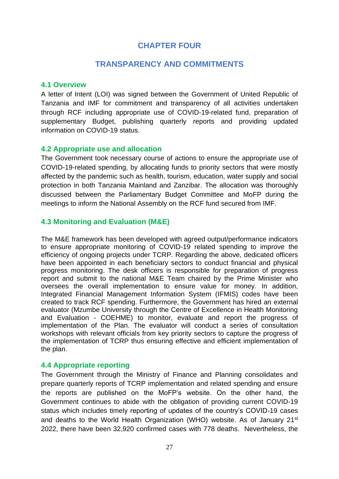## **CHAPTER FOUR**

## **TRANSPARENCY AND COMMITMENTS**

### <span id="page-27-2"></span><span id="page-27-1"></span><span id="page-27-0"></span>**4.1 Overview**

A letter of Intent (LOI) was signed between the Government of United Republic of Tanzania and IMF for commitment and transparency of all activities undertaken through RCF including appropriate use of COVID-19-related fund, preparation of supplementary Budget, publishing quarterly reports and providing updated information on COVID-19 status.

### <span id="page-27-3"></span>**4.2 Appropriate use and allocation**

The Government took necessary course of actions to ensure the appropriate use of COVID-19-related spending, by allocating funds to priority sectors that were mostly affected by the pandemic such as health, tourism, education, water supply and social protection in both Tanzania Mainland and Zanzibar. The allocation was thoroughly discussed between the Parliamentary Budget Committee and MoFP during the meetings to inform the National Assembly on the RCF fund secured from IMF.

### <span id="page-27-4"></span>**4.3 Monitoring and Evaluation (M&E)**

The M&E framework has been developed with agreed output/performance indicators to ensure appropriate monitoring of COVID-19 related spending to improve the efficiency of ongoing projects under TCRP. Regarding the above, dedicated officers have been appointed in each beneficiary sectors to conduct financial and physical progress monitoring. The desk officers is responsible for preparation of progress report and submit to the national M&E Team chaired by the Prime Minister who oversees the overall implementation to ensure value for money. In addition, Integrated Financial Management Information System (IFMIS) codes have been created to track RCF spending. Furthermore, the Government has hired an external evaluator (Mzumbe University through the Centre of Excellence in Health Monitoring and Evaluation - COEHME) to monitor, evaluate and report the progress of implementation of the Plan. The evaluator will conduct a series of consultation workshops with relevant officials from key priority sectors to capture the progress of the implementation of TCRP thus ensuring effective and efficient implementation of the plan.

### <span id="page-27-5"></span>**4.4 Appropriate reporting**

The Government through the Ministry of Finance and Planning consolidates and prepare quarterly reports of TCRP implementation and related spending and ensure the reports are published on the MoFP's website. On the other hand, the Government continues to abide with the obligation of providing current COVID-19 status which includes timely reporting of updates of the country's COVID-19 cases and deaths to the World Health Organization (WHO) website. As of January 21<sup>st</sup> 2022, there have been 32,920 confirmed cases with 778 deaths. Nevertheless, the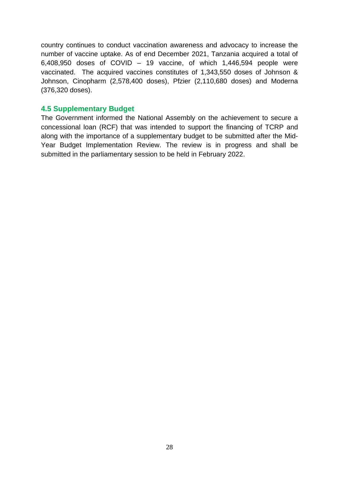country continues to conduct vaccination awareness and advocacy to increase the number of vaccine uptake. As of end December 2021, Tanzania acquired a total of 6,408,950 doses of COVID – 19 vaccine, of which 1,446,594 people were vaccinated. The acquired vaccines constitutes of 1,343,550 doses of Johnson & Johnson, Cinopharm (2,578,400 doses), Pfzier (2,110,680 doses) and Moderna (376,320 doses).

### <span id="page-28-0"></span>**4.5 Supplementary Budget**

The Government informed the National Assembly on the achievement to secure a concessional loan (RCF) that was intended to support the financing of TCRP and along with the importance of a supplementary budget to be submitted after the Mid-Year Budget Implementation Review. The review is in progress and shall be submitted in the parliamentary session to be held in February 2022.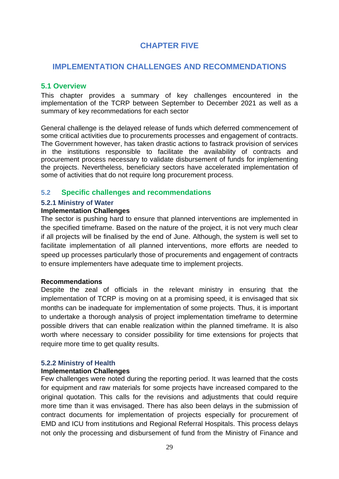# **CHAPTER FIVE**

### <span id="page-29-1"></span><span id="page-29-0"></span>**IMPLEMENTATION CHALLENGES AND RECOMMENDATIONS**

### <span id="page-29-2"></span>**5.1 Overview**

This chapter provides a summary of key challenges encountered in the implementation of the TCRP between September to December 2021 as well as a summary of key recommedations for each sector

General challenge is the delayed release of funds which deferred commencement of some critical activities due to procurements processes and engagement of contracts. The Government however, has taken drastic actions to fastrack provision of services in the institutions responsible to facilitate the availability of contracts and procurement process necessary to validate disbursement of funds for implementing the projects. Nevertheless, beneficiary sectors have accelerated implementation of some of activities that do not require long procurement process.

### <span id="page-29-3"></span>**5.2 Specific challenges and recommendations**

### <span id="page-29-4"></span>**5.2.1 Ministry of Water**

### **Implementation Challenges**

The sector is pushing hard to ensure that planned interventions are implemented in the specified timeframe. Based on the nature of the project, it is not very much clear if all projects will be finalised by the end of June. Although, the system is well set to facilitate implementation of all planned interventions, more efforts are needed to speed up processes particularly those of procurements and engagement of contracts to ensure implementers have adequate time to implement projects.

### **Recommendations**

Despite the zeal of officials in the relevant ministry in ensuring that the implementation of TCRP is moving on at a promising speed, it is envisaged that six months can be inadequate for implementation of some projects. Thus, it is important to undertake a thorough analysis of project implementation timeframe to determine possible drivers that can enable realization within the planned timeframe. It is also worth where necessary to consider possibility for time extensions for projects that require more time to get quality results.

### <span id="page-29-5"></span>**5.2.2 Ministry of Health**

### **Implementation Challenges**

Few challenges were noted during the reporting period. It was learned that the costs for equipment and raw materials for some projects have increased compared to the original quotation. This calls for the revisions and adjustments that could require more time than it was envisaged. There has also been delays in the submission of contract documents for implementation of projects especially for procurement of EMD and ICU from institutions and Regional Referral Hospitals. This process delays not only the processing and disbursement of fund from the Ministry of Finance and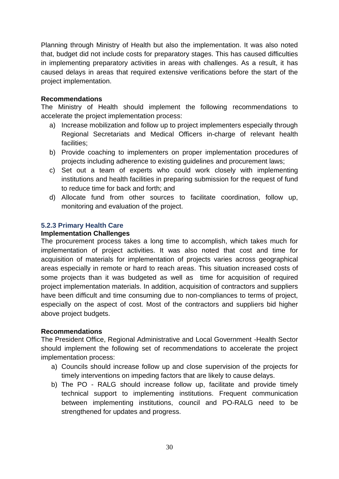Planning through Ministry of Health but also the implementation. It was also noted that, budget did not include costs for preparatory stages. This has caused difficulties in implementing preparatory activities in areas with challenges. As a result, it has caused delays in areas that required extensive verifications before the start of the project implementation.

### **Recommendations**

The Ministry of Health should implement the following recommendations to accelerate the project implementation process:

- a) Increase mobilization and follow up to project implementers especially through Regional Secretariats and Medical Officers in-charge of relevant health facilities;
- b) Provide coaching to implementers on proper implementation procedures of projects including adherence to existing guidelines and procurement laws;
- c) Set out a team of experts who could work closely with implementing institutions and health facilities in preparing submission for the request of fund to reduce time for back and forth; and
- d) Allocate fund from other sources to facilitate coordination, follow up, monitoring and evaluation of the project.

### <span id="page-30-0"></span>**5.2.3 Primary Health Care**

### **Implementation Challenges**

The procurement process takes a long time to accomplish, which takes much for implementation of project activities. It was also noted that cost and time for acquisition of materials for implementation of projects varies across geographical areas especially in remote or hard to reach areas. This situation increased costs of some projects than it was budgeted as well as time for acquisition of required project implementation materials. In addition, acquisition of contractors and suppliers have been difficult and time consuming due to non-compliances to terms of project, especially on the aspect of cost. Most of the contractors and suppliers bid higher above project budgets.

### **Recommendations**

The President Office, Regional Administrative and Local Government -Health Sector should implement the following set of recommendations to accelerate the project implementation process:

- a) Councils should increase follow up and close supervision of the projects for timely interventions on impeding factors that are likely to cause delays.
- b) The PO RALG should increase follow up, facilitate and provide timely technical support to implementing institutions. Frequent communication between implementing institutions, council and PO-RALG need to be strengthened for updates and progress.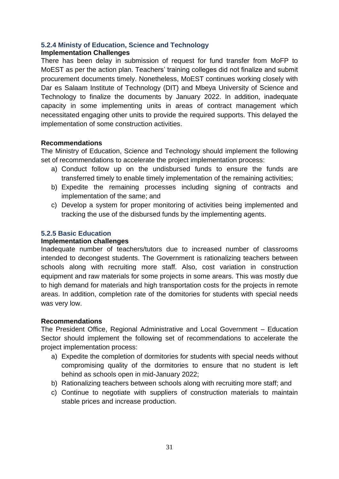### <span id="page-31-0"></span>**5.2.4 Ministy of Education, Science and Technology**

### **Implementation Challenges**

There has been delay in submission of request for fund transfer from MoFP to MoEST as per the action plan. Teachers' training colleges did not finalize and submit procurement documents timely. Nonetheless, MoEST continues working closely with Dar es Salaam Institute of Technology (DIT) and Mbeya University of Science and Technology to finalize the documents by January 2022. In addition, inadequate capacity in some implementing units in areas of contract management which necessitated engaging other units to provide the required supports. This delayed the implementation of some construction activities.

### **Recommendations**

The Ministry of Education, Science and Technology should implement the following set of recommendations to accelerate the project implementation process:

- a) Conduct follow up on the undisbursed funds to ensure the funds are transferred timely to enable timely implementation of the remaining activities;
- b) Expedite the remaining processes including signing of contracts and implementation of the same; and
- c) Develop a system for proper monitoring of activities being implemented and tracking the use of the disbursed funds by the implementing agents.

### <span id="page-31-1"></span>**5.2.5 Basic Education**

### **Implementation challenges**

Inadequate number of teachers/tutors due to increased number of classrooms intended to decongest students. The Government is rationalizing teachers between schools along with recruiting more staff. Also, cost variation in construction equipment and raw materials for some projects in some arears. This was mostly due to high demand for materials and high transportation costs for the projects in remote areas. In addition, completion rate of the domitories for students with special needs was very low.

### **Recommendations**

The President Office, Regional Administrative and Local Government – Education Sector should implement the following set of recommendations to accelerate the project implementation process:

- a) Expedite the completion of dormitories for students with special needs without compromising quality of the dormitories to ensure that no student is left behind as schools open in mid-January 2022;
- b) Rationalizing teachers between schools along with recruiting more staff; and
- c) Continue to negotiate with suppliers of construction materials to maintain stable prices and increase production.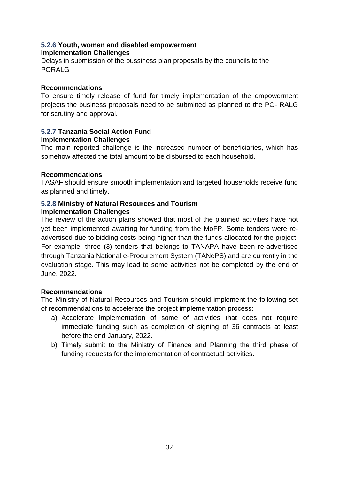### <span id="page-32-0"></span>**5.2.6 Youth, women and disabled empowerment Implementation Challenges**

Delays in submission of the bussiness plan proposals by the councils to the PORALG

### **Recommendations**

To ensure timely release of fund for timely implementation of the empowerment projects the business proposals need to be submitted as planned to the PO- RALG for scrutiny and approval.

#### <span id="page-32-1"></span>**5.2.7 Tanzania Social Action Fund Implementation Challenges**

The main reported challenge is the increased number of beneficiaries, which has somehow affected the total amount to be disbursed to each household.

### **Recommendations**

TASAF should ensure smooth implementation and targeted households receive fund as planned and timely.

### <span id="page-32-2"></span>**5.2.8 Ministry of Natural Resources and Tourism Implementation Challenges**

The review of the action plans showed that most of the planned activities have not yet been implemented awaiting for funding from the MoFP. Some tenders were readvertised due to bidding costs being higher than the funds allocated for the project. For example, three (3) tenders that belongs to TANAPA have been re-advertised through Tanzania National e-Procurement System (TANePS) and are currently in the evaluation stage. This may lead to some activities not be completed by the end of June, 2022.

### **Recommendations**

The Ministry of Natural Resources and Tourism should implement the following set of recommendations to accelerate the project implementation process:

- a) Accelerate implementation of some of activities that does not require immediate funding such as completion of signing of 36 contracts at least before the end January, 2022.
- b) Timely submit to the Ministry of Finance and Planning the third phase of funding requests for the implementation of contractual activities.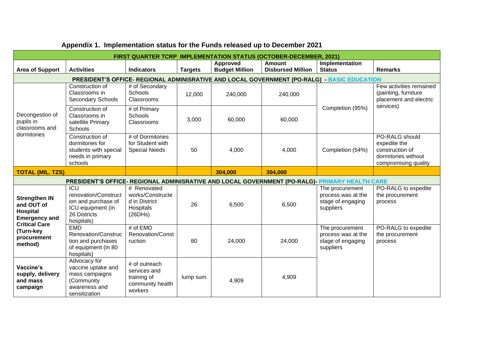|                                                                               | <b>FIRST QUARTER TCRP IMPLEMENTATION STATUS (OCTOBER-DECEMBER, 2021)</b>                              |                                                                             |                |                                   |                                           |                                                                                             |                                                                                                  |  |
|-------------------------------------------------------------------------------|-------------------------------------------------------------------------------------------------------|-----------------------------------------------------------------------------|----------------|-----------------------------------|-------------------------------------------|---------------------------------------------------------------------------------------------|--------------------------------------------------------------------------------------------------|--|
| <b>Area of Support</b>                                                        | <b>Activities</b>                                                                                     | <b>Indicators</b>                                                           | <b>Targets</b> | Approved<br><b>Budget Million</b> | <b>Amount</b><br><b>Disbursed Million</b> | Implementation<br><b>Status</b>                                                             | <b>Remarks</b>                                                                                   |  |
|                                                                               |                                                                                                       |                                                                             |                |                                   |                                           | PRESIDENT'S OFFICE- REGIONAL ADMINISRATIVE AND LOCAL GOVERNMENT (PO-RALG) - BASIC EDUCATION |                                                                                                  |  |
|                                                                               | Construction of<br>Classrooms in<br><b>Secondary Schools</b>                                          | # of Secondary<br><b>Schools</b><br>Classrooms                              | 12,000         | 240,000                           | 240,000                                   |                                                                                             | Few activities remained<br>(painting, furniture<br>placement and electric                        |  |
| Decongestion of<br>pupils in<br>classrooms and                                | Construction of<br>Classrooms in<br>satellite Primary<br>Schools                                      | # of Primary<br><b>Schools</b><br>Classrooms                                | 3,000          | 60,000                            | 60,000                                    | Completion (95%)                                                                            | services)                                                                                        |  |
| dormitories                                                                   | Construction of<br>dormitories for<br>students with special<br>needs in primary<br>schools            | # of Dormitories<br>for Student with<br><b>Special Needs</b>                | 50             | 4,000                             | 4,000                                     | Completion (54%)                                                                            | PO-RALG should<br>expedite the<br>construction of<br>dormitories without<br>compromising quality |  |
| <b>TOTAL (MIL. TZS)</b>                                                       |                                                                                                       |                                                                             |                | 304,000                           | 304,000                                   |                                                                                             |                                                                                                  |  |
|                                                                               | PRESIDENT'S OFFICE- REGIONAL ADMINISRATIVE AND LOCAL GOVERNMENT (PO-RALG)- PRIMARY HEALTH CARE        |                                                                             |                |                                   |                                           |                                                                                             |                                                                                                  |  |
| <b>Strengthen IN</b><br>and OUT of<br><b>Hospital</b><br><b>Emergency and</b> | ICU<br>renovation/Construct<br>ion and purchase of<br>ICU equipment (in<br>26 Districts<br>hospitals) | # Renovated<br>works/Constructe<br>d in District<br>Hospitals<br>(26DHS)    | 26             | 6,500                             | 6,500                                     | The procurement<br>process was at the<br>stage of engaging<br>suppliers                     | PO-RALG to expedite<br>the procurement<br>process                                                |  |
| <b>Critical Care</b><br>(Turn-key<br>procurement<br>method)                   | <b>EMD</b><br>Renovation/Construc<br>tion and purchases<br>of equipment (in 80<br>hospitals)          | # of EMD<br>Renovation/Const<br>ruction                                     | 80             | 24,000                            | 24,000                                    | The procurement<br>process was at the<br>stage of engaging<br>suppliers                     | PO-RALG to expedite<br>the procurement<br>process                                                |  |
| Vaccine's<br>supply, delivery<br>and mass<br>campaign                         | Advocacy for<br>vaccine uptake and<br>mass campaigns<br>(Community<br>awareness and<br>sensitization  | # of outreach<br>services and<br>training of<br>community health<br>workers | lump sum       | 4,909                             | 4,909                                     |                                                                                             |                                                                                                  |  |

# **Appendix 1. Implementation status for the Funds released up to December 2021**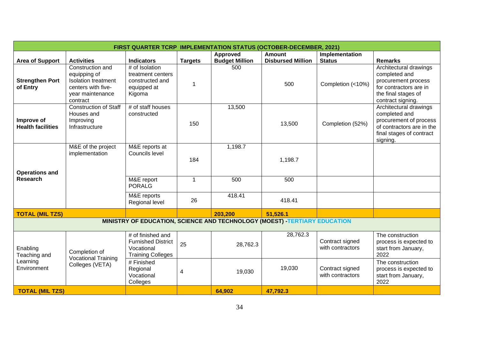|                                          | FIRST QUARTER TCRP IMPLEMENTATION STATUS (OCTOBER-DECEMBER, 2021)                                                    |                                                                                          |                |                       |                                                                            |                                     |                                                                                                                                        |  |  |
|------------------------------------------|----------------------------------------------------------------------------------------------------------------------|------------------------------------------------------------------------------------------|----------------|-----------------------|----------------------------------------------------------------------------|-------------------------------------|----------------------------------------------------------------------------------------------------------------------------------------|--|--|
|                                          |                                                                                                                      |                                                                                          |                | Approved              | <b>Amount</b>                                                              | Implementation                      |                                                                                                                                        |  |  |
| <b>Area of Support</b>                   | <b>Activities</b>                                                                                                    | <b>Indicators</b>                                                                        | <b>Targets</b> | <b>Budget Million</b> | <b>Disbursed Million</b>                                                   | <b>Status</b>                       | <b>Remarks</b>                                                                                                                         |  |  |
| <b>Strengthen Port</b><br>of Entry       | Construction and<br>equipping of<br><b>Isolation treatment</b><br>centers with five-<br>year maintenance<br>contract | # of Isolation<br>treatment centers<br>constructed and<br>equipped at<br>Kigoma          | $\mathbf 1$    | 500                   | 500                                                                        | Completion (<10%)                   | Architectural drawings<br>completed and<br>procurement process<br>for contractors are in<br>the final stages of<br>contract signing.   |  |  |
| Improve of<br><b>Health facilities</b>   | <b>Construction of Staff</b><br>Houses and<br>Improving<br>Infrastructure                                            | # of staff houses<br>constructed                                                         | 150            | 13,500                | 13,500                                                                     | Completion (52%)                    | Architectural drawings<br>completed and<br>procurement of process<br>of contractors are in the<br>final stages of contract<br>signing. |  |  |
|                                          | M&E of the project<br>implementation                                                                                 | M&E reports at<br>Councils level                                                         | 184            | 1,198.7               | 1,198.7                                                                    |                                     |                                                                                                                                        |  |  |
| <b>Operations and</b><br><b>Research</b> |                                                                                                                      | M&E report<br><b>PORALG</b>                                                              | $\mathbf{1}$   | 500                   | 500                                                                        |                                     |                                                                                                                                        |  |  |
|                                          |                                                                                                                      | M&E reports<br>Regional level                                                            | 26             | 418.41                | 418.41                                                                     |                                     |                                                                                                                                        |  |  |
| <b>TOTAL (MIL TZS)</b>                   |                                                                                                                      |                                                                                          |                | 203,200               | 51,526.1                                                                   |                                     |                                                                                                                                        |  |  |
|                                          |                                                                                                                      |                                                                                          |                |                       | MINISTRY OF EDUCATION, SCIENCE AND TECHNOLOGY (MOEST) - TERTIARY EDUCATION |                                     |                                                                                                                                        |  |  |
| Enabling<br>Teaching and                 | Completion of                                                                                                        | # of finished and<br><b>Furnished District</b><br>Vocational<br><b>Training Colleges</b> | 25             | 28,762.3              | 28,762.3                                                                   | Contract signed<br>with contractors | The construction<br>process is expected to<br>start from January,<br>2022                                                              |  |  |
| Learning<br>Environment                  | <b>Vocational Training</b><br>Colleges (VETA)                                                                        | # Finished<br>Regional<br>Vocational<br>Colleges                                         | 4              | 19,030                | 19,030                                                                     | Contract signed<br>with contractors | The construction<br>process is expected to<br>start from January,<br>2022                                                              |  |  |
| <b>TOTAL (MIL TZS)</b>                   |                                                                                                                      |                                                                                          |                | 64,902                | 47,792.3                                                                   |                                     |                                                                                                                                        |  |  |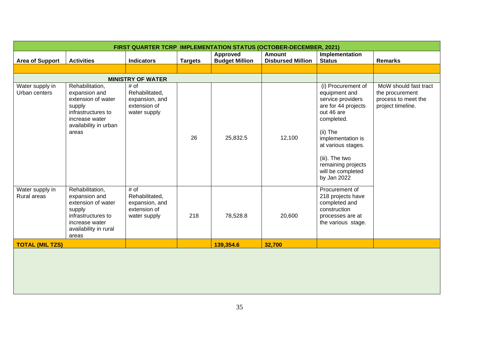|                                       | FIRST QUARTER TCRP IMPLEMENTATION STATUS (OCTOBER-DECEMBER, 2021)                                                                          |                                                                          |                |                                          |                                           |                                                                                                                                                                                                                                                |                                                                                      |  |
|---------------------------------------|--------------------------------------------------------------------------------------------------------------------------------------------|--------------------------------------------------------------------------|----------------|------------------------------------------|-------------------------------------------|------------------------------------------------------------------------------------------------------------------------------------------------------------------------------------------------------------------------------------------------|--------------------------------------------------------------------------------------|--|
| <b>Area of Support</b>                | <b>Activities</b>                                                                                                                          | <b>Indicators</b>                                                        | <b>Targets</b> | <b>Approved</b><br><b>Budget Million</b> | <b>Amount</b><br><b>Disbursed Million</b> | Implementation<br><b>Status</b>                                                                                                                                                                                                                | <b>Remarks</b>                                                                       |  |
|                                       |                                                                                                                                            |                                                                          |                |                                          |                                           |                                                                                                                                                                                                                                                |                                                                                      |  |
|                                       |                                                                                                                                            | <b>MINISTRY OF WATER</b>                                                 |                |                                          |                                           |                                                                                                                                                                                                                                                |                                                                                      |  |
| Water supply in<br>Urban centers      | Rehabilitation,<br>expansion and<br>extension of water<br>supply<br>infrastructures to<br>increase water<br>availability in urban<br>areas | # of<br>Rehabilitated,<br>expansion, and<br>extension of<br>water supply | 26             | 25,832.5                                 | 12,100                                    | (i) Procurement of<br>equipment and<br>service providers<br>are for 44 projects<br>out 46 are<br>completed.<br>(ii) The<br>implementation is<br>at various stages.<br>(iii). The two<br>remaining projects<br>will be completed<br>by Jan 2022 | MoW should fast tract<br>the procurement<br>process to meet the<br>project timeline. |  |
| Water supply in<br><b>Rural areas</b> | Rehabilitation,<br>expansion and<br>extension of water<br>supply<br>infrastructures to<br>increase water<br>availability in rural<br>areas | # of<br>Rehabilitated,<br>expansion, and<br>extension of<br>water supply | 218            | 78,528.8                                 | 20,600                                    | Procurement of<br>218 projects have<br>completed and<br>construction<br>processes are at<br>the various stage.                                                                                                                                 |                                                                                      |  |
| <b>TOTAL (MIL TZS)</b>                |                                                                                                                                            |                                                                          |                | 139,354.6                                | 32,700                                    |                                                                                                                                                                                                                                                |                                                                                      |  |
|                                       |                                                                                                                                            |                                                                          |                |                                          |                                           |                                                                                                                                                                                                                                                |                                                                                      |  |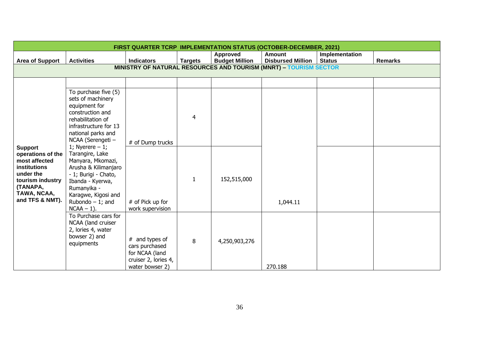| <b>FIRST QUARTER TCRP IMPLEMENTATION STATUS (OCTOBER-DECEMBER, 2021)</b>                                                                            |                                                                                                                                                                                                                                                               |                                                                                                                     |                |                                          |                                                                   |                                 |                |
|-----------------------------------------------------------------------------------------------------------------------------------------------------|---------------------------------------------------------------------------------------------------------------------------------------------------------------------------------------------------------------------------------------------------------------|---------------------------------------------------------------------------------------------------------------------|----------------|------------------------------------------|-------------------------------------------------------------------|---------------------------------|----------------|
| <b>Area of Support</b>                                                                                                                              | <b>Activities</b>                                                                                                                                                                                                                                             | <b>Indicators</b>                                                                                                   | <b>Targets</b> | <b>Approved</b><br><b>Budget Million</b> | <b>Amount</b><br><b>Disbursed Million</b>                         | Implementation<br><b>Status</b> | <b>Remarks</b> |
|                                                                                                                                                     |                                                                                                                                                                                                                                                               |                                                                                                                     |                |                                          | MINISTRY OF NATURAL RESOURCES AND TOURISM (MNRT) - TOURISM SECTOR |                                 |                |
|                                                                                                                                                     | To purchase five (5)<br>sets of machinery<br>equipment for<br>construction and<br>rehabilitation of                                                                                                                                                           |                                                                                                                     | $\overline{4}$ |                                          |                                                                   |                                 |                |
| <b>Support</b><br>operations of the<br>most affected<br>institutions<br>under the<br>tourism industry<br>(TANAPA,<br>TAWA, NCAA,<br>and TFS & NMT). | infrastructure for 13<br>national parks and<br>NCAA (Serengeti -<br>1; Nyerere $-1$ ;<br>Tarangire, Lake<br>Manyara, Mkomazi,<br>Arusha & Kilimanjaro<br>- 1; Burigi - Chato,<br>Ibanda - Kyerwa,<br>Rumanyika -<br>Karagwe, Kigosi and<br>Rubondo $-1$ ; and | # of Dump trucks                                                                                                    |                |                                          |                                                                   |                                 |                |
|                                                                                                                                                     |                                                                                                                                                                                                                                                               | # of Pick up for                                                                                                    | $\mathbf{1}$   | 152,515,000                              | 1,044.11                                                          |                                 |                |
|                                                                                                                                                     | $NCAA - 1$ ).<br>To Purchase cars for<br>NCAA (land cruiser<br>2, lories 4, water<br>bowser 2) and<br>equipments                                                                                                                                              | work supervision<br>$#$ and types of<br>cars purchased<br>for NCAA (land<br>cruiser 2, lories 4,<br>water bowser 2) | 8              | 4,250,903,276                            | 270.188                                                           |                                 |                |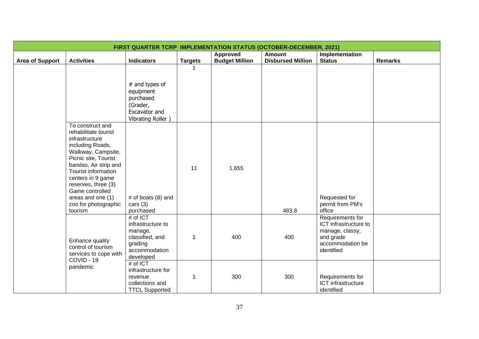|                        | FIRST QUARTER TCRP IMPLEMENTATION STATUS (OCTOBER-DECEMBER, 2021)                                                                                                                                                                                                                                   |                                                                                                                  |                |                       |                          |                                                                                                             |                |  |
|------------------------|-----------------------------------------------------------------------------------------------------------------------------------------------------------------------------------------------------------------------------------------------------------------------------------------------------|------------------------------------------------------------------------------------------------------------------|----------------|-----------------------|--------------------------|-------------------------------------------------------------------------------------------------------------|----------------|--|
|                        |                                                                                                                                                                                                                                                                                                     |                                                                                                                  |                | Approved              | <b>Amount</b>            | Implementation                                                                                              |                |  |
| <b>Area of Support</b> | <b>Activities</b>                                                                                                                                                                                                                                                                                   | <b>Indicators</b>                                                                                                | <b>Targets</b> | <b>Budget Million</b> | <b>Disbursed Million</b> | <b>Status</b>                                                                                               | <b>Remarks</b> |  |
|                        |                                                                                                                                                                                                                                                                                                     | $#$ and types of<br>equipment<br>purchased<br>(Grader,<br>Excavator and<br>Vibrating Roller)                     | $\mathbf{1}$   |                       |                          |                                                                                                             |                |  |
|                        | To construct and<br>rehabilitate tourist<br>infrastructure<br>including Roads,<br>Walkway, Campsite,<br>Picnic site, Tourist<br>bandas, Air strip and<br>Tourist information<br>centers in 9 game<br>reserves, three (3)<br>Game controlled<br>areas and one (1)<br>zoo for photographic<br>tourism | # of boats $(8)$ and<br>cars $(3)$<br>purchased                                                                  | 11             | 1,655                 | 483.8                    | Requested for<br>permit from PM's<br>office                                                                 |                |  |
|                        | Enhance quality<br>control of tourism<br>services to cope with<br>COVID - 19                                                                                                                                                                                                                        | # of ICT<br>infrastructure to<br>manage,<br>classified, and<br>grading<br>accommodation<br>developed<br># of ICT | $\mathbf{1}$   | 400                   | 400                      | Requirements for<br>ICT infrastructure to<br>manage, classy,<br>and grade<br>accommodation be<br>identified |                |  |
|                        | pandemic                                                                                                                                                                                                                                                                                            | infrastructure for<br>revenue<br>collections and<br><b>TTCL Supported</b>                                        | 1              | 300                   | 300                      | Requirements for<br>ICT infrastructure<br>identified                                                        |                |  |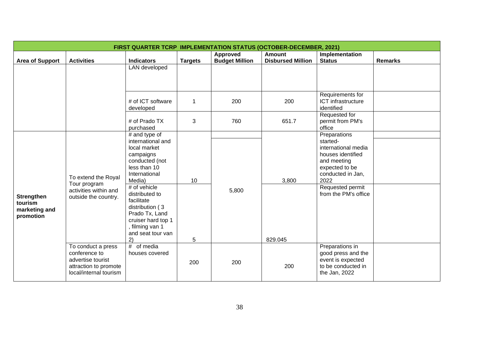|                                                            | <b>FIRST QUARTER TCRP IMPLEMENTATION STATUS (OCTOBER-DECEMBER, 2021)</b>                                    |                                                                                                                                                                                                                                                                                        |                |                                          |                                           |                                                                                                                                                                                |                |  |  |
|------------------------------------------------------------|-------------------------------------------------------------------------------------------------------------|----------------------------------------------------------------------------------------------------------------------------------------------------------------------------------------------------------------------------------------------------------------------------------------|----------------|------------------------------------------|-------------------------------------------|--------------------------------------------------------------------------------------------------------------------------------------------------------------------------------|----------------|--|--|
| <b>Area of Support</b>                                     | <b>Activities</b>                                                                                           | <b>Indicators</b>                                                                                                                                                                                                                                                                      | <b>Targets</b> | <b>Approved</b><br><b>Budget Million</b> | <b>Amount</b><br><b>Disbursed Million</b> | Implementation<br><b>Status</b>                                                                                                                                                | <b>Remarks</b> |  |  |
|                                                            |                                                                                                             | LAN developed                                                                                                                                                                                                                                                                          |                |                                          |                                           |                                                                                                                                                                                |                |  |  |
|                                                            |                                                                                                             | # of ICT software<br>developed                                                                                                                                                                                                                                                         | 1              | 200                                      | 200                                       | Requirements for<br>ICT infrastructure<br>identified                                                                                                                           |                |  |  |
|                                                            |                                                                                                             | # of Prado TX<br>purchased                                                                                                                                                                                                                                                             | 3              | 760                                      | 651.7                                     | Requested for<br>permit from PM's<br>office                                                                                                                                    |                |  |  |
| <b>Strengthen</b><br>tourism<br>marketing and<br>promotion | To extend the Royal<br>Tour program<br>activities within and<br>outside the country.                        | # and type of<br>international and<br>local market<br>campaigns<br>conducted (not<br>less than 10<br>International<br>Media)<br># of vehicle<br>distributed to<br>facilitate<br>distribution (3)<br>Prado Tx, Land<br>cruiser hard top 1<br>, filming van 1<br>and seat tour van<br>2) | 10<br>5        | 5,800                                    | 3,800<br>829.045                          | Preparations<br>started-<br>international media<br>houses identified<br>and meeting<br>expected to be<br>conducted in Jan,<br>2022<br>Requested permit<br>from the PM's office |                |  |  |
|                                                            | To conduct a press<br>conference to<br>advertise tourist<br>attraction to promote<br>local/internal tourism | of media<br>#<br>houses covered                                                                                                                                                                                                                                                        | 200            | 200                                      | 200                                       | Preparations in<br>good press and the<br>event is expected<br>to be conducted in<br>the Jan, 2022                                                                              |                |  |  |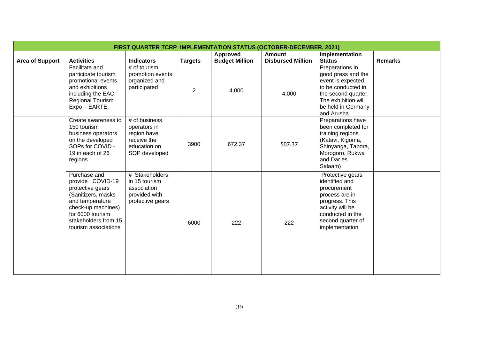| <b>FIRST QUARTER TCRP IMPLEMENTATION STATUS (OCTOBER-DECEMBER, 2021)</b> |                                                                                                                                                                                         |                                                                                              |                |                       |                          |                                                                                                                                                                      |                |  |  |
|--------------------------------------------------------------------------|-----------------------------------------------------------------------------------------------------------------------------------------------------------------------------------------|----------------------------------------------------------------------------------------------|----------------|-----------------------|--------------------------|----------------------------------------------------------------------------------------------------------------------------------------------------------------------|----------------|--|--|
|                                                                          |                                                                                                                                                                                         |                                                                                              |                | Approved              | <b>Amount</b>            | Implementation                                                                                                                                                       |                |  |  |
| <b>Area of Support</b>                                                   | <b>Activities</b>                                                                                                                                                                       | <b>Indicators</b>                                                                            | <b>Targets</b> | <b>Budget Million</b> | <b>Disbursed Million</b> | <b>Status</b>                                                                                                                                                        | <b>Remarks</b> |  |  |
|                                                                          | Facilitate and<br>participate tourism<br>promotional events<br>and exhibitions<br>including the EAC<br><b>Regional Tourism</b><br>Expo - EARTE,                                         | # of tourism<br>promotion events<br>organized and<br>participated                            | $\overline{2}$ | 4,000                 | 4,000                    | Preparations in<br>good press and the<br>event is expected<br>to be conducted in<br>the second quarter.<br>The exhibition will<br>be held in Germany<br>and Arusha   |                |  |  |
|                                                                          | Create awareness to<br>150 tourism<br>business operators<br>on the developed<br>SOPs for COVID -<br>19 in each of 26<br>regions                                                         | # of business<br>operators in<br>region have<br>receive the<br>education on<br>SOP developed | 3900           | 672.37                | 507.37                   | Preparations have<br>been completed for<br>training regions<br>(Katavi, Kigoma,<br>Shinyanga, Tabora,<br>Morogoro, Rukwa<br>and Dar es<br>Salaam)                    |                |  |  |
|                                                                          | Purchase and<br>provide COVID-19<br>protective gears<br>(Sanitizers, masks<br>and temperature<br>check-up machines)<br>for 6000 tourism<br>stakeholders from 15<br>tourism associations | # Stakeholders<br>in 15 tourism<br>association<br>provided with<br>protective gears          | 6000           | 222                   | 222                      | Protective gears<br>identified and<br>procurement<br>process are in<br>progress. This<br>activity will be<br>conducted in the<br>second quarter of<br>implementation |                |  |  |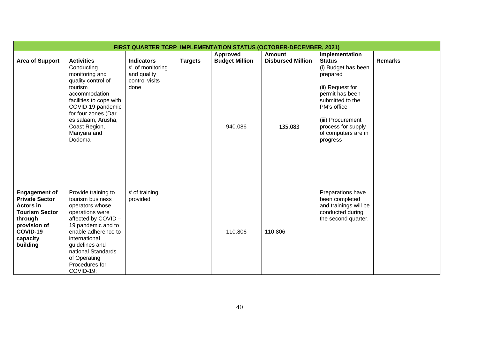| <b>FIRST QUARTER TCRP IMPLEMENTATION STATUS (OCTOBER-DECEMBER, 2021)</b>                                                                                  |                                                                                                                                                                                                                                                          |                                                          |                |                       |                          |                                                                                                                                                                                         |                |  |  |
|-----------------------------------------------------------------------------------------------------------------------------------------------------------|----------------------------------------------------------------------------------------------------------------------------------------------------------------------------------------------------------------------------------------------------------|----------------------------------------------------------|----------------|-----------------------|--------------------------|-----------------------------------------------------------------------------------------------------------------------------------------------------------------------------------------|----------------|--|--|
|                                                                                                                                                           |                                                                                                                                                                                                                                                          |                                                          |                | <b>Approved</b>       | <b>Amount</b>            | Implementation                                                                                                                                                                          |                |  |  |
| <b>Area of Support</b>                                                                                                                                    | <b>Activities</b>                                                                                                                                                                                                                                        | <b>Indicators</b>                                        | <b>Targets</b> | <b>Budget Million</b> | <b>Disbursed Million</b> | <b>Status</b>                                                                                                                                                                           | <b>Remarks</b> |  |  |
|                                                                                                                                                           | Conducting<br>monitoring and<br>quality control of<br>tourism<br>accommodation<br>facilities to cope with<br>COVID-19 pandemic<br>for four zones (Dar<br>es salaam, Arusha,<br>Coast Region,<br>Manyara and<br>Dodoma                                    | # of monitoring<br>and quality<br>control visits<br>done |                | 940.086               | 135.083                  | (i) Budget has been<br>prepared<br>(ii) Request for<br>permit has been<br>submitted to the<br>PM's office<br>(iii) Procurement<br>process for supply<br>of computers are in<br>progress |                |  |  |
| <b>Engagement of</b><br><b>Private Sector</b><br><b>Actors in</b><br><b>Tourism Sector</b><br>through<br>provision of<br>COVID-19<br>capacity<br>building | Provide training to<br>tourism business<br>operators whose<br>operations were<br>affected by COVID-<br>19 pandemic and to<br>enable adherence to<br>international<br>guidelines and<br>national Standards<br>of Operating<br>Procedures for<br>COVID-19; | # of training<br>provided                                |                | 110.806               | 110.806                  | Preparations have<br>been completed<br>and trainings will be<br>conducted during<br>the second quarter.                                                                                 |                |  |  |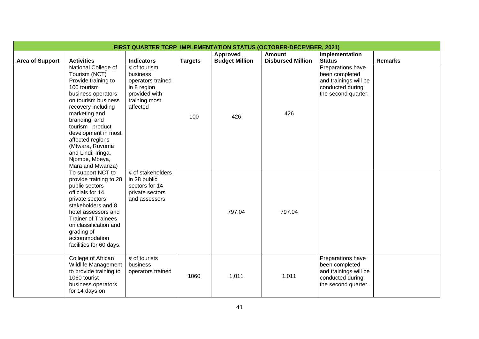|                        | <b>FIRST QUARTER TCRP IMPLEMENTATION STATUS (OCTOBER-DECEMBER, 2021)</b>                                                                                                                                                                                                                                                     |                                                                                                            |                |                       |                          |                                                                                                         |                |  |  |  |
|------------------------|------------------------------------------------------------------------------------------------------------------------------------------------------------------------------------------------------------------------------------------------------------------------------------------------------------------------------|------------------------------------------------------------------------------------------------------------|----------------|-----------------------|--------------------------|---------------------------------------------------------------------------------------------------------|----------------|--|--|--|
|                        |                                                                                                                                                                                                                                                                                                                              |                                                                                                            |                | <b>Approved</b>       | <b>Amount</b>            | Implementation                                                                                          |                |  |  |  |
| <b>Area of Support</b> | <b>Activities</b>                                                                                                                                                                                                                                                                                                            | <b>Indicators</b>                                                                                          | <b>Targets</b> | <b>Budget Million</b> | <b>Disbursed Million</b> | <b>Status</b>                                                                                           | <b>Remarks</b> |  |  |  |
|                        | National College of<br>Tourism (NCT)<br>Provide training to<br>100 tourism<br>business operators<br>on tourism business<br>recovery including<br>marketing and<br>branding; and<br>tourism product<br>development in most<br>affected regions<br>(Mtwara, Ruvuma<br>and Lindi; Iringa,<br>Njombe, Mbeya,<br>Mara and Mwanza) | # of tourism<br>business<br>operators trained<br>in 8 region<br>provided with<br>training most<br>affected | 100            | 426                   | 426                      | Preparations have<br>been completed<br>and trainings will be<br>conducted during<br>the second quarter. |                |  |  |  |
|                        | To support NCT to<br>provide training to 28<br>public sectors<br>officials for 14<br>private sectors<br>stakeholders and 8<br>hotel assessors and<br><b>Trainer of Trainees</b><br>on classification and<br>grading of<br>accommodation<br>facilities for 60 days.                                                           | # of stakeholders<br>in 28 public<br>sectors for 14<br>private sectors<br>and assessors                    |                | 797.04                | 797.04                   |                                                                                                         |                |  |  |  |
|                        | College of African<br>Wildlife Management<br>to provide training to<br>1060 tourist<br>business operators<br>for 14 days on                                                                                                                                                                                                  | # of tourists<br>business<br>operators trained                                                             | 1060           | 1,011                 | 1,011                    | Preparations have<br>been completed<br>and trainings will be<br>conducted during<br>the second quarter. |                |  |  |  |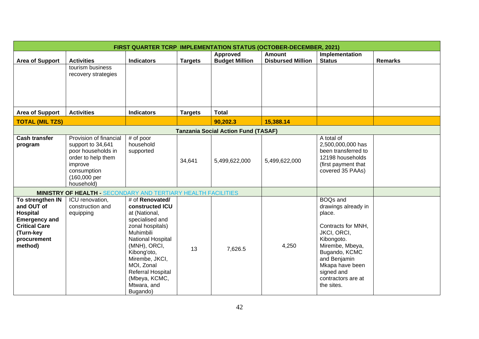|                                                                                                                                   | <b>FIRST QUARTER TCRP IMPLEMENTATION STATUS (OCTOBER-DECEMBER, 2021)</b>                                                                        |                                                                                                                                                                                                                                                                     |                |                                            |                                           |                                                                                                                                                                                                                              |                |  |  |
|-----------------------------------------------------------------------------------------------------------------------------------|-------------------------------------------------------------------------------------------------------------------------------------------------|---------------------------------------------------------------------------------------------------------------------------------------------------------------------------------------------------------------------------------------------------------------------|----------------|--------------------------------------------|-------------------------------------------|------------------------------------------------------------------------------------------------------------------------------------------------------------------------------------------------------------------------------|----------------|--|--|
| <b>Area of Support</b>                                                                                                            | <b>Activities</b>                                                                                                                               | <b>Indicators</b>                                                                                                                                                                                                                                                   | <b>Targets</b> | <b>Approved</b><br><b>Budget Million</b>   | <b>Amount</b><br><b>Disbursed Million</b> | Implementation<br><b>Status</b>                                                                                                                                                                                              | <b>Remarks</b> |  |  |
|                                                                                                                                   | tourism business<br>recovery strategies                                                                                                         |                                                                                                                                                                                                                                                                     |                |                                            |                                           |                                                                                                                                                                                                                              |                |  |  |
| <b>Area of Support</b>                                                                                                            | <b>Activities</b>                                                                                                                               | <b>Indicators</b>                                                                                                                                                                                                                                                   | <b>Targets</b> | <b>Total</b>                               |                                           |                                                                                                                                                                                                                              |                |  |  |
| <b>TOTAL (MIL TZS)</b>                                                                                                            |                                                                                                                                                 |                                                                                                                                                                                                                                                                     |                | 90,202.3                                   | 15,388.14                                 |                                                                                                                                                                                                                              |                |  |  |
|                                                                                                                                   |                                                                                                                                                 |                                                                                                                                                                                                                                                                     |                | <b>Tanzania Social Action Fund (TASAF)</b> |                                           |                                                                                                                                                                                                                              |                |  |  |
| <b>Cash transfer</b><br>program                                                                                                   | Provision of financial<br>support to 34,641<br>poor households in<br>order to help them<br>improve<br>consumption<br>(160,000 per<br>household) | # of poor<br>household<br>supported                                                                                                                                                                                                                                 | 34,641         | 5,499,622,000                              | 5,499,622,000                             | A total of<br>2,500,000,000 has<br>been transferred to<br>12198 households<br>(first payment that<br>covered 35 PAAs)                                                                                                        |                |  |  |
|                                                                                                                                   | <b>MINISTRY OF HEALTH - SECONDARY AND TERTIARY HEALTH FACILITIES</b>                                                                            |                                                                                                                                                                                                                                                                     |                |                                            |                                           |                                                                                                                                                                                                                              |                |  |  |
| To strengthen IN<br>and OUT of<br>Hospital<br><b>Emergency and</b><br><b>Critical Care</b><br>(Turn-key<br>procurement<br>method) | ICU renovation,<br>construction and<br>equipping                                                                                                | # of Renovated/<br>constructed ICU<br>at (National,<br>specialised and<br>zonal hospitals)<br><b>Muhimbili</b><br>National Hospital<br>(MNH), ORCI,<br>Kibong'oto,<br>Mirembe, JKCI,<br>MOI, Zonal<br>Referral Hospital<br>(Mbeya, KCMC,<br>Mtwara, and<br>Bugando) | 13             | 7,626.5                                    | 4,250                                     | <b>BOQs and</b><br>drawings already in<br>place.<br>Contracts for MNH,<br>JKCI, ORCI,<br>Kibongoto.<br>Mirembe, Mbeya,<br>Bugando, KCMC<br>and Benjamin<br>Mkapa have been<br>signed and<br>contractors are at<br>the sites. |                |  |  |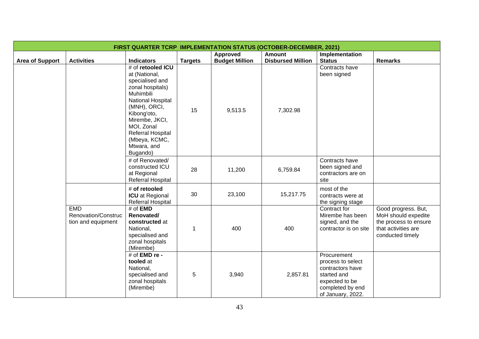|                        | <b>FIRST QUARTER TCRP IMPLEMENTATION STATUS (OCTOBER-DECEMBER, 2021)</b> |                                                                                                                                                                                                                                             |                |                       |                          |                                                                                                                                |                                                                                                                |  |  |
|------------------------|--------------------------------------------------------------------------|---------------------------------------------------------------------------------------------------------------------------------------------------------------------------------------------------------------------------------------------|----------------|-----------------------|--------------------------|--------------------------------------------------------------------------------------------------------------------------------|----------------------------------------------------------------------------------------------------------------|--|--|
|                        |                                                                          |                                                                                                                                                                                                                                             |                | <b>Approved</b>       | <b>Amount</b>            | Implementation                                                                                                                 |                                                                                                                |  |  |
| <b>Area of Support</b> | <b>Activities</b>                                                        | <b>Indicators</b>                                                                                                                                                                                                                           | <b>Targets</b> | <b>Budget Million</b> | <b>Disbursed Million</b> | <b>Status</b>                                                                                                                  | <b>Remarks</b>                                                                                                 |  |  |
|                        |                                                                          | # of retooled ICU<br>at (National,<br>specialised and<br>zonal hospitals)<br>Muhimbili<br>National Hospital<br>(MNH), ORCI,<br>Kibong'oto,<br>Mirembe, JKCI,<br>MOI, Zonal<br>Referral Hospital<br>(Mbeya, KCMC,<br>Mtwara, and<br>Bugando) | 15             | 9,513.5               | 7,302.98                 | Contracts have<br>been signed                                                                                                  |                                                                                                                |  |  |
|                        |                                                                          | # of Renovated/<br>constructed ICU<br>at Regional<br><b>Referral Hospital</b>                                                                                                                                                               | 28             | 11,200                | 6,759.84                 | Contracts have<br>been signed and<br>contractors are on<br>site                                                                |                                                                                                                |  |  |
|                        |                                                                          | # of retooled<br><b>ICU</b> at Regional<br>Referral Hospital                                                                                                                                                                                | 30             | 23,100                | 15,217.75                | most of the<br>contracts were at<br>the signing stage                                                                          |                                                                                                                |  |  |
|                        | <b>EMD</b><br>Renovation/Construc<br>tion and equipment                  | $#$ of <b>EMD</b><br>Renovated/<br>constructed at<br>National,<br>specialised and<br>zonal hospitals<br>(Mirembe)                                                                                                                           | $\mathbf{1}$   | 400                   | 400                      | Contract for<br>Mirembe has been<br>signed, and the<br>contractor is on site                                                   | Good progress. But,<br>MoH should expedite<br>the process to ensure<br>that activities are<br>conducted timely |  |  |
|                        |                                                                          | # of EMD re -<br>tooled at<br>National,<br>specialised and<br>zonal hospitals<br>(Mirembe)                                                                                                                                                  | 5              | 3,940                 | 2,857.81                 | Procurement<br>process to select<br>contractors have<br>started and<br>expected to be<br>completed by end<br>of January, 2022. |                                                                                                                |  |  |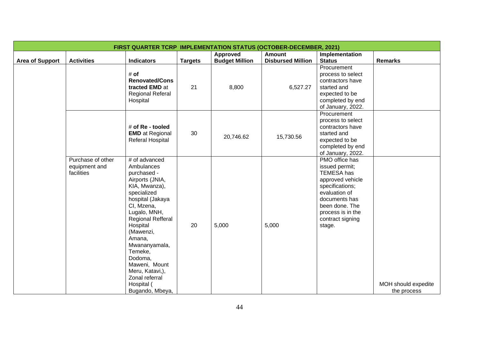|                        | <b>FIRST QUARTER TCRP IMPLEMENTATION STATUS (OCTOBER-DECEMBER, 2021)</b> |                                                                                                                                                                                                                                                                                                      |                |                                          |                                           |                                                                                                                                                                                              |                                    |  |  |  |
|------------------------|--------------------------------------------------------------------------|------------------------------------------------------------------------------------------------------------------------------------------------------------------------------------------------------------------------------------------------------------------------------------------------------|----------------|------------------------------------------|-------------------------------------------|----------------------------------------------------------------------------------------------------------------------------------------------------------------------------------------------|------------------------------------|--|--|--|
| <b>Area of Support</b> | <b>Activities</b>                                                        | <b>Indicators</b>                                                                                                                                                                                                                                                                                    | <b>Targets</b> | <b>Approved</b><br><b>Budget Million</b> | <b>Amount</b><br><b>Disbursed Million</b> | Implementation<br><b>Status</b>                                                                                                                                                              | Remarks                            |  |  |  |
|                        |                                                                          | # of<br><b>Renovated/Cons</b><br>tracted EMD at<br><b>Regional Referal</b><br>Hospital                                                                                                                                                                                                               | 21             | 8,800                                    | 6,527.27                                  | Procurement<br>process to select<br>contractors have<br>started and<br>expected to be<br>completed by end<br>of January, 2022.                                                               |                                    |  |  |  |
|                        |                                                                          | # of Re - tooled<br><b>EMD</b> at Regional<br>Referal Hospital                                                                                                                                                                                                                                       | 30             | 20,746.62                                | 15,730.56                                 | Procurement<br>process to select<br>contractors have<br>started and<br>expected to be<br>completed by end<br>of January, 2022.                                                               |                                    |  |  |  |
|                        | Purchase of other<br>equipment and<br>facilities                         | # of advanced<br>Ambulances<br>purchased -<br>Airports (JNIA,<br>KIA, Mwanza),<br>specialized<br>hospital (Jakaya<br>CI, Mzena,<br>Lugalo, MNH,<br>Regional Refferal<br>Hospital<br>(Mawenzi,<br>Amana,<br>Mwananyamala,<br>Temeke,<br>Dodoma,<br>Maweni, Mount<br>Meru, Katavi,),<br>Zonal referral | 20             | 5,000                                    | 5,000                                     | PMO office has<br>issued permit;<br>TEMESA has<br>approved vehicle<br>specifications;<br>evaluation of<br>documents has<br>been done. The<br>process is in the<br>contract signing<br>stage. |                                    |  |  |  |
|                        |                                                                          | Hospital (<br>Bugando, Mbeya,                                                                                                                                                                                                                                                                        |                |                                          |                                           |                                                                                                                                                                                              | MOH should expedite<br>the process |  |  |  |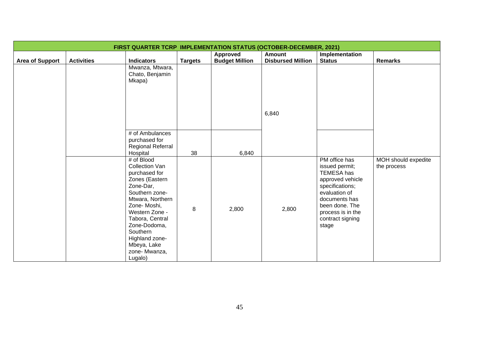| <b>FIRST QUARTER TCRP IMPLEMENTATION STATUS (OCTOBER-DECEMBER, 2021)</b> |                   |                                     |                |                       |                          |                              |                     |  |  |
|--------------------------------------------------------------------------|-------------------|-------------------------------------|----------------|-----------------------|--------------------------|------------------------------|---------------------|--|--|
|                                                                          |                   |                                     |                | Approved              | Amount                   | Implementation               |                     |  |  |
| <b>Area of Support</b>                                                   | <b>Activities</b> | <b>Indicators</b>                   | <b>Targets</b> | <b>Budget Million</b> | <b>Disbursed Million</b> | <b>Status</b>                | <b>Remarks</b>      |  |  |
|                                                                          |                   | Mwanza, Mtwara,                     |                |                       |                          |                              |                     |  |  |
|                                                                          |                   | Chato, Benjamin                     |                |                       |                          |                              |                     |  |  |
|                                                                          |                   | Mkapa)                              |                |                       |                          |                              |                     |  |  |
|                                                                          |                   |                                     |                |                       |                          |                              |                     |  |  |
|                                                                          |                   |                                     |                |                       |                          |                              |                     |  |  |
|                                                                          |                   |                                     |                |                       |                          |                              |                     |  |  |
|                                                                          |                   |                                     |                |                       |                          |                              |                     |  |  |
|                                                                          |                   |                                     |                |                       | 6,840                    |                              |                     |  |  |
|                                                                          |                   |                                     |                |                       |                          |                              |                     |  |  |
|                                                                          |                   |                                     |                |                       |                          |                              |                     |  |  |
|                                                                          |                   | # of Ambulances                     |                |                       |                          |                              |                     |  |  |
|                                                                          |                   | purchased for                       |                |                       |                          |                              |                     |  |  |
|                                                                          |                   | Regional Referral                   |                |                       |                          |                              |                     |  |  |
|                                                                          |                   | Hospital                            | 38             | 6,840                 |                          |                              |                     |  |  |
|                                                                          |                   | # of Blood<br><b>Collection Van</b> |                |                       |                          | PM office has                | MOH should expedite |  |  |
|                                                                          |                   |                                     |                |                       |                          | issued permit;<br>TEMESA has | the process         |  |  |
|                                                                          |                   | purchased for<br>Zones (Eastern     |                |                       |                          | approved vehicle             |                     |  |  |
|                                                                          |                   | Zone-Dar,                           |                |                       |                          | specifications;              |                     |  |  |
|                                                                          |                   | Southern zone-                      |                |                       |                          | evaluation of                |                     |  |  |
|                                                                          |                   | Mtwara, Northern                    |                |                       |                          | documents has                |                     |  |  |
|                                                                          |                   | Zone-Moshi,                         |                |                       |                          | been done. The               |                     |  |  |
|                                                                          |                   | Western Zone -                      | $\,8\,$        | 2,800                 | 2,800                    | process is in the            |                     |  |  |
|                                                                          |                   | Tabora, Central                     |                |                       |                          | contract signing             |                     |  |  |
|                                                                          |                   | Zone-Dodoma,                        |                |                       |                          | stage                        |                     |  |  |
|                                                                          |                   | Southern                            |                |                       |                          |                              |                     |  |  |
|                                                                          |                   | Highland zone-                      |                |                       |                          |                              |                     |  |  |
|                                                                          |                   | Mbeya, Lake                         |                |                       |                          |                              |                     |  |  |
|                                                                          |                   | zone- Mwanza,                       |                |                       |                          |                              |                     |  |  |
|                                                                          |                   | Lugalo)                             |                |                       |                          |                              |                     |  |  |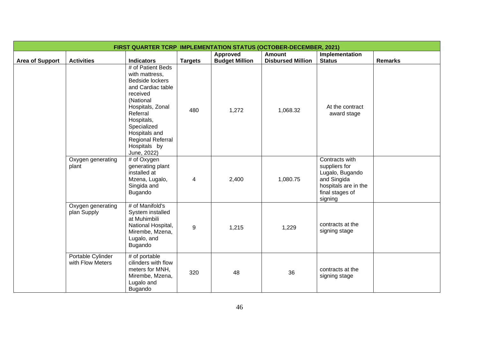| <b>FIRST QUARTER TCRP IMPLEMENTATION STATUS (OCTOBER-DECEMBER, 2021)</b> |                                       |                                                                                                                                                                                                                                        |                         |                       |                          |                                                                                                                         |                |  |  |
|--------------------------------------------------------------------------|---------------------------------------|----------------------------------------------------------------------------------------------------------------------------------------------------------------------------------------------------------------------------------------|-------------------------|-----------------------|--------------------------|-------------------------------------------------------------------------------------------------------------------------|----------------|--|--|
|                                                                          |                                       |                                                                                                                                                                                                                                        |                         | Approved              | Amount                   | Implementation                                                                                                          |                |  |  |
| <b>Area of Support</b>                                                   | <b>Activities</b>                     | <b>Indicators</b>                                                                                                                                                                                                                      | <b>Targets</b>          | <b>Budget Million</b> | <b>Disbursed Million</b> | <b>Status</b>                                                                                                           | <b>Remarks</b> |  |  |
|                                                                          |                                       | # of Patient Beds<br>with mattress,<br>Bedside lockers<br>and Cardiac table<br>received<br>(National<br>Hospitals, Zonal<br>Referral<br>Hospitals,<br>Specialized<br>Hospitals and<br>Regional Referral<br>Hospitals by<br>June, 2022) | 480                     | 1,272                 | 1,068.32                 | At the contract<br>award stage                                                                                          |                |  |  |
|                                                                          | Oxygen generating<br>plant            | # of Oxygen<br>generating plant<br>installed at<br>Mzena, Lugalo,<br>Singida and<br>Bugando                                                                                                                                            | $\overline{\mathbf{4}}$ | 2,400                 | 1,080.75                 | Contracts with<br>suppliers for<br>Lugalo, Bugando<br>and Singida<br>hospitals are in the<br>final stages of<br>signing |                |  |  |
|                                                                          | Oxygen generating<br>plan Supply      | # of Manifold's<br>System installed<br>at Muhimbili<br>National Hospital,<br>Mirembe, Mzena,<br>Lugalo, and<br>Bugando                                                                                                                 | 9                       | 1,215                 | 1,229                    | contracts at the<br>signing stage                                                                                       |                |  |  |
|                                                                          | Portable Cylinder<br>with Flow Meters | # of portable<br>cilinders with flow<br>meters for MNH,<br>Mirembe, Mzena,<br>Lugalo and<br>Bugando                                                                                                                                    | 320                     | 48                    | 36                       | contracts at the<br>signing stage                                                                                       |                |  |  |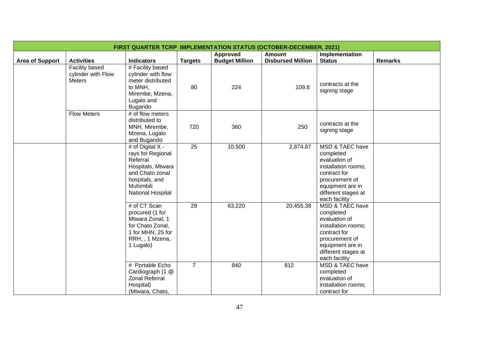| <b>FIRST QUARTER TCRP IMPLEMENTATION STATUS (OCTOBER-DECEMBER, 2021)</b> |                                                |                                                                                                                                               |                 |                       |                          |                                                                                                                                                                    |                |  |  |
|--------------------------------------------------------------------------|------------------------------------------------|-----------------------------------------------------------------------------------------------------------------------------------------------|-----------------|-----------------------|--------------------------|--------------------------------------------------------------------------------------------------------------------------------------------------------------------|----------------|--|--|
|                                                                          |                                                |                                                                                                                                               |                 | Approved              | <b>Amount</b>            | Implementation                                                                                                                                                     |                |  |  |
| <b>Area of Support</b>                                                   | <b>Activities</b>                              | <b>Indicators</b>                                                                                                                             | <b>Targets</b>  | <b>Budget Million</b> | <b>Disbursed Million</b> | <b>Status</b>                                                                                                                                                      | <b>Remarks</b> |  |  |
|                                                                          | Facility based<br>cylinder with Flow<br>Meters | # Facility based<br>cylinder with flow<br>meter distributed<br>to MNH,<br>Mirembe, Mzena,<br>Lugalo and<br>Bugando                            | 80              | 224                   | 109.8                    | contracts at the<br>signing stage                                                                                                                                  |                |  |  |
|                                                                          | <b>Flow Meters</b>                             | # of flow meters<br>distributed to<br>MNH, Mirembe,<br>Mzena, Lugalo<br>and Bugando                                                           | 720             | 360                   | 250                      | contracts at the<br>signing stage                                                                                                                                  |                |  |  |
|                                                                          |                                                | # of Digital X -<br>rays for Regional<br>Referral<br>Hospitals, Mtwara<br>and Chato zonal<br>hospitals, and<br>Muhimbili<br>National Hospital | $\overline{25}$ | 10,500                | 2,874.87                 | MSD & TAEC have<br>completed<br>evaluation of<br>installation rooms;<br>contract for<br>procurement of<br>equipment are in<br>different stages at<br>each facility |                |  |  |
|                                                                          |                                                | # of CT Scan<br>procured (1 for<br>Mtwara Zonal, 1<br>for Chato Zonal,<br>1 for MHN, 25 for<br>RRH, , 1 Mzena,<br>1 Lugalo)                   | 29              | 63,220                | 20,455.38                | MSD & TAEC have<br>completed<br>evaluation of<br>installation rooms;<br>contract for<br>procurement of<br>equipment are in<br>different stages at<br>each facility |                |  |  |
|                                                                          |                                                | # Portable Echo<br>Cardiograph (1 @<br><b>Zonal Referral</b><br>Hospital)<br>(Mtwara, Chato,                                                  | $\overline{7}$  | 840                   | 812                      | MSD & TAEC have<br>completed<br>evaluation of<br>installation rooms;<br>contract for                                                                               |                |  |  |